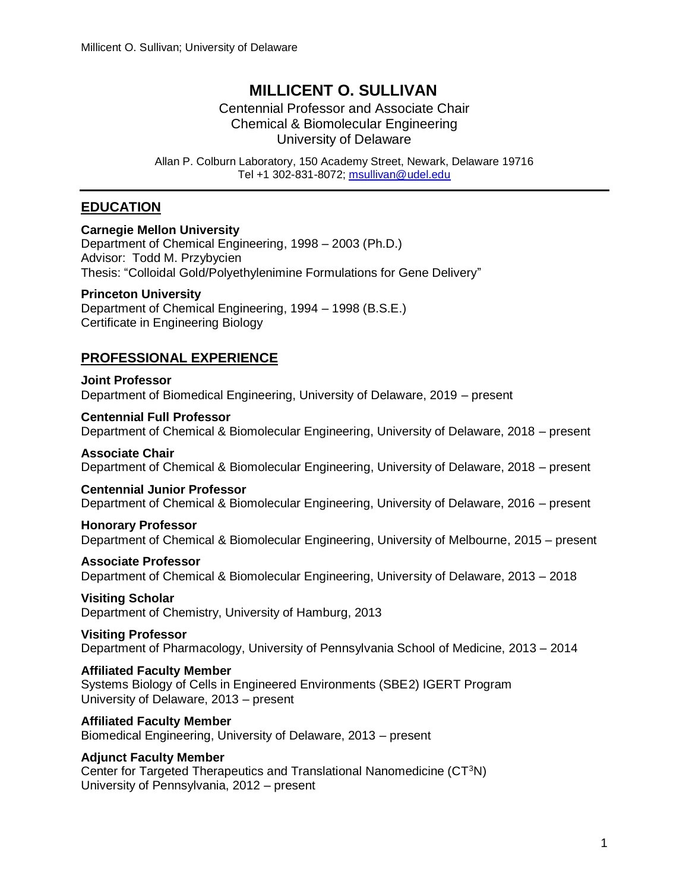# **MILLICENT O. SULLIVAN**

Centennial Professor and Associate Chair Chemical & Biomolecular Engineering University of Delaware

Allan P. Colburn Laboratory, 150 Academy Street, Newark, Delaware 19716 Tel +1 302-831-8072; [msullivan@udel.edu](mailto:msullivan@udel.edu)

# **EDUCATION**

#### **Carnegie Mellon University**

Department of Chemical Engineering, 1998 – 2003 (Ph.D.) Advisor: Todd M. Przybycien Thesis: "Colloidal Gold/Polyethylenimine Formulations for Gene Delivery"

#### **Princeton University**

Department of Chemical Engineering, 1994 – 1998 (B.S.E.) Certificate in Engineering Biology

# **PROFESSIONAL EXPERIENCE**

**Joint Professor** Department of Biomedical Engineering, University of Delaware, 2019 – present

#### **Centennial Full Professor**

Department of Chemical & Biomolecular Engineering, University of Delaware, 2018 – present

#### **Associate Chair**

Department of Chemical & Biomolecular Engineering, University of Delaware, 2018 – present

#### **Centennial Junior Professor**

Department of Chemical & Biomolecular Engineering, University of Delaware, 2016 – present

#### **Honorary Professor**

Department of Chemical & Biomolecular Engineering, University of Melbourne, 2015 – present

#### **Associate Professor**

Department of Chemical & Biomolecular Engineering, University of Delaware, 2013 – 2018

#### **Visiting Scholar**

Department of Chemistry, University of Hamburg, 2013

#### **Visiting Professor**

Department of Pharmacology, University of Pennsylvania School of Medicine, 2013 – 2014

#### **Affiliated Faculty Member**

Systems Biology of Cells in Engineered Environments (SBE2) IGERT Program University of Delaware, 2013 – present

#### **Affiliated Faculty Member**

Biomedical Engineering, University of Delaware, 2013 – present

#### **Adjunct Faculty Member**

Center for Targeted Therapeutics and Translational Nanomedicine (CT<sup>3</sup>N) University of Pennsylvania, 2012 – present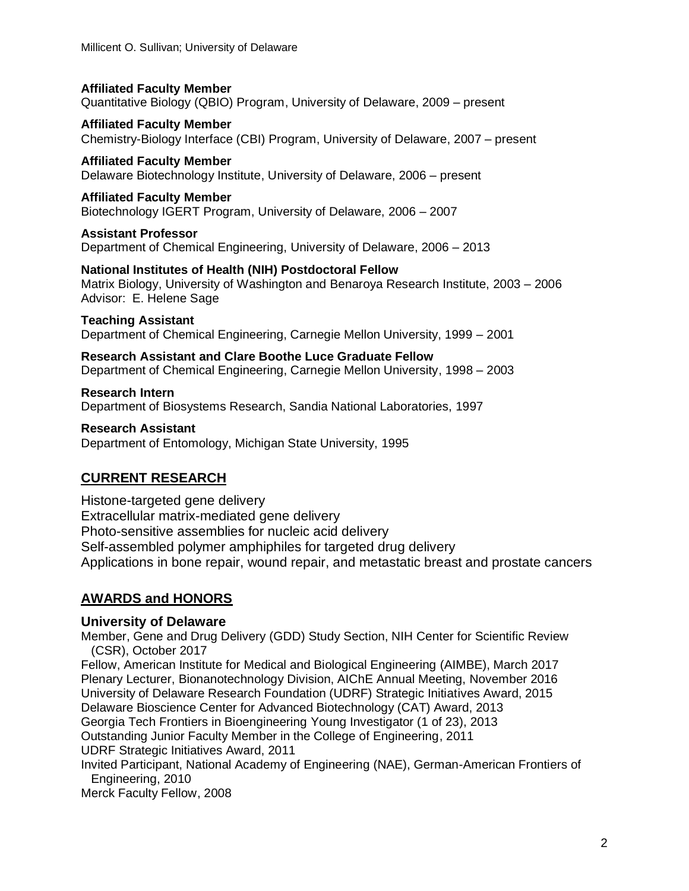**Affiliated Faculty Member** Quantitative Biology (QBIO) Program, University of Delaware, 2009 – present

**Affiliated Faculty Member** Chemistry-Biology Interface (CBI) Program, University of Delaware, 2007 – present

**Affiliated Faculty Member** Delaware Biotechnology Institute, University of Delaware, 2006 – present

**Affiliated Faculty Member** Biotechnology IGERT Program, University of Delaware, 2006 – 2007

**Assistant Professor** Department of Chemical Engineering, University of Delaware, 2006 – 2013

**National Institutes of Health (NIH) Postdoctoral Fellow** Matrix Biology, University of Washington and Benaroya Research Institute, 2003 – 2006 Advisor: E. Helene Sage

**Teaching Assistant**

Department of Chemical Engineering, Carnegie Mellon University, 1999 – 2001

**Research Assistant and Clare Boothe Luce Graduate Fellow** Department of Chemical Engineering, Carnegie Mellon University, 1998 – 2003

**Research Intern** Department of Biosystems Research, Sandia National Laboratories, 1997

**Research Assistant** Department of Entomology, Michigan State University, 1995

# **CURRENT RESEARCH**

Histone-targeted gene delivery Extracellular matrix-mediated gene delivery Photo-sensitive assemblies for nucleic acid delivery Self-assembled polymer amphiphiles for targeted drug delivery Applications in bone repair, wound repair, and metastatic breast and prostate cancers

# **AWARDS and HONORS**

# **University of Delaware**

Member, Gene and Drug Delivery (GDD) Study Section, NIH Center for Scientific Review (CSR), October 2017

Fellow, American Institute for Medical and Biological Engineering (AIMBE), March 2017 Plenary Lecturer, Bionanotechnology Division, AIChE Annual Meeting, November 2016 University of Delaware Research Foundation (UDRF) Strategic Initiatives Award, 2015 Delaware Bioscience Center for Advanced Biotechnology (CAT) Award, 2013 Georgia Tech Frontiers in Bioengineering Young Investigator (1 of 23), 2013 Outstanding Junior Faculty Member in the College of Engineering, 2011 UDRF Strategic Initiatives Award, 2011 Invited Participant, National Academy of Engineering (NAE), German-American Frontiers of

Engineering, 2010

Merck Faculty Fellow, 2008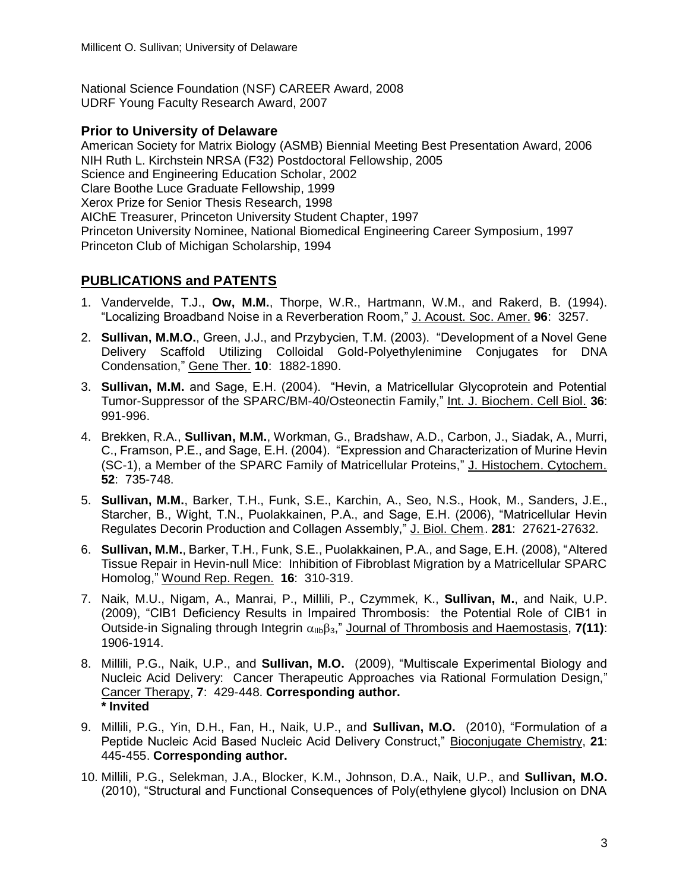National Science Foundation (NSF) CAREER Award, 2008 UDRF Young Faculty Research Award, 2007

#### **Prior to University of Delaware**

American Society for Matrix Biology (ASMB) Biennial Meeting Best Presentation Award, 2006 NIH Ruth L. Kirchstein NRSA (F32) Postdoctoral Fellowship, 2005 Science and Engineering Education Scholar, 2002 Clare Boothe Luce Graduate Fellowship, 1999 Xerox Prize for Senior Thesis Research, 1998 AIChE Treasurer, Princeton University Student Chapter, 1997 Princeton University Nominee, National Biomedical Engineering Career Symposium, 1997 Princeton Club of Michigan Scholarship, 1994

# **PUBLICATIONS and PATENTS**

- 1. Vandervelde, T.J., **Ow, M.M.**, Thorpe, W.R., Hartmann, W.M., and Rakerd, B. (1994). "Localizing Broadband Noise in a Reverberation Room," J. Acoust. Soc. Amer. **96**: 3257.
- 2. **Sullivan, M.M.O.**, Green, J.J., and Przybycien, T.M. (2003). "Development of a Novel Gene Delivery Scaffold Utilizing Colloidal Gold-Polyethylenimine Conjugates for DNA Condensation," Gene Ther. **10**: 1882-1890.
- 3. **Sullivan, M.M.** and Sage, E.H. (2004). "Hevin, a Matricellular Glycoprotein and Potential Tumor-Suppressor of the SPARC/BM-40/Osteonectin Family," Int. J. Biochem. Cell Biol. **36**: 991-996.
- 4. Brekken, R.A., **Sullivan, M.M.**, Workman, G., Bradshaw, A.D., Carbon, J., Siadak, A., Murri, C., Framson, P.E., and Sage, E.H. (2004). "Expression and Characterization of Murine Hevin (SC-1), a Member of the SPARC Family of Matricellular Proteins," J. Histochem. Cytochem. **52**: 735-748.
- 5. **Sullivan, M.M.**, Barker, T.H., Funk, S.E., Karchin, A., Seo, N.S., Hook, M., Sanders, J.E., Starcher, B., Wight, T.N., Puolakkainen, P.A., and Sage, E.H. (2006), "Matricellular Hevin Regulates Decorin Production and Collagen Assembly," J. Biol. Chem. 281: 27621-27632.
- 6. **Sullivan, M.M.**, Barker, T.H., Funk, S.E., Puolakkainen, P.A., and Sage, E.H. (2008), "Altered Tissue Repair in Hevin-null Mice: Inhibition of Fibroblast Migration by a Matricellular SPARC Homolog," Wound Rep. Regen. **16**: 310-319.
- 7. Naik, M.U., Nigam, A., Manrai, P., Millili, P., Czymmek, K., **Sullivan, M.**, and Naik, U.P. (2009), "CIB1 Deficiency Results in Impaired Thrombosis: the Potential Role of CIB1 in Outside-in Signaling through Integrin  $\alpha_{\text{lib}}\beta_3$ ," Journal of Thrombosis and Haemostasis, **7(11)**: 1906-1914.
- 8. Millili, P.G., Naik, U.P., and **Sullivan, M.O.** (2009), "Multiscale Experimental Biology and Nucleic Acid Delivery: Cancer Therapeutic Approaches via Rational Formulation Design," Cancer Therapy, **7**: 429-448. **Corresponding author. \* Invited**
- 9. Millili, P.G., Yin, D.H., Fan, H., Naik, U.P., and **Sullivan, M.O.** (2010), "Formulation of a Peptide Nucleic Acid Based Nucleic Acid Delivery Construct," Bioconjugate Chemistry, **21**: 445-455. **Corresponding author.**
- 10. Millili, P.G., Selekman, J.A., Blocker, K.M., Johnson, D.A., Naik, U.P., and **Sullivan, M.O.** (2010), "Structural and Functional Consequences of Poly(ethylene glycol) Inclusion on DNA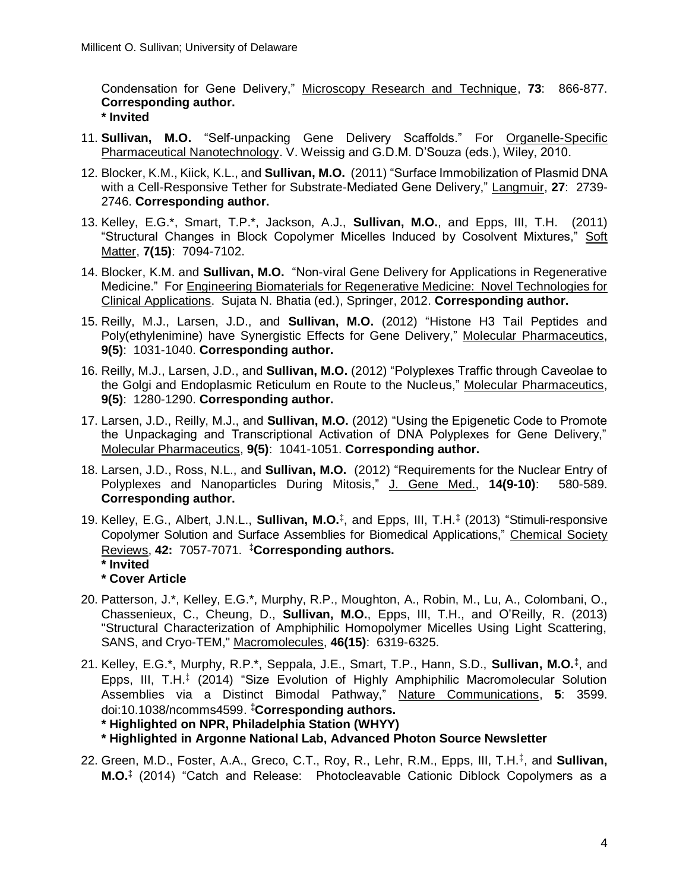Condensation for Gene Delivery," Microscopy Research and Technique, **73**: 866-877. **Corresponding author. \* Invited**

- 11. **Sullivan, M.O.** "Self-unpacking Gene Delivery Scaffolds." For Organelle-Specific Pharmaceutical Nanotechnology. V. Weissig and G.D.M. D'Souza (eds.), Wiley, 2010.
- 12. Blocker, K.M., Kiick, K.L., and **Sullivan, M.O.** (2011) "Surface Immobilization of Plasmid DNA with a Cell-Responsive Tether for Substrate-Mediated Gene Delivery," Langmuir, **27**: 2739- 2746. **Corresponding author.**
- 13. Kelley, E.G.\*, Smart, T.P.\*, Jackson, A.J., **Sullivan, M.O.**, and Epps, III, T.H. (2011) "Structural Changes in Block Copolymer Micelles Induced by Cosolvent Mixtures," Soft Matter, **7(15)**: 7094-7102.
- 14. Blocker, K.M. and **Sullivan, M.O.** "Non-viral Gene Delivery for Applications in Regenerative Medicine." For Engineering Biomaterials for Regenerative Medicine: Novel Technologies for Clinical Applications. Sujata N. Bhatia (ed.), Springer, 2012. **Corresponding author.**
- 15. Reilly, M.J., Larsen, J.D., and **Sullivan, M.O.** (2012) "Histone H3 Tail Peptides and Poly(ethylenimine) have Synergistic Effects for Gene Delivery," Molecular Pharmaceutics, **9(5)**: 1031-1040. **Corresponding author.**
- 16. Reilly, M.J., Larsen, J.D., and **Sullivan, M.O.** (2012) "Polyplexes Traffic through Caveolae to the Golgi and Endoplasmic Reticulum en Route to the Nucleus," Molecular Pharmaceutics, **9(5)**: 1280-1290. **Corresponding author.**
- 17. Larsen, J.D., Reilly, M.J., and **Sullivan, M.O.** (2012) "Using the Epigenetic Code to Promote the Unpackaging and Transcriptional Activation of DNA Polyplexes for Gene Delivery," Molecular Pharmaceutics, **9(5)**: 1041-1051. **Corresponding author.**
- 18. Larsen, J.D., Ross, N.L., and **Sullivan, M.O.** (2012) "Requirements for the Nuclear Entry of Polyplexes and Nanoparticles During Mitosis," J. Gene Med., **14(9-10)**: 580-589. **Corresponding author.**
- 19. Kelley, E.G., Albert, J.N.L., **Sullivan, M.O.‡** , and Epps, III, T.H.**‡** (2013) "Stimuli-responsive Copolymer Solution and Surface Assemblies for Biomedical Applications," Chemical Society Reviews, **42:** 7057-7071. **‡Corresponding authors. \* Invited**
	- **\* Cover Article**
- 20. Patterson, J.\*, Kelley, E.G.\*, Murphy, R.P., Moughton, A., Robin, M., Lu, A., Colombani, O., Chassenieux, C., Cheung, D., **Sullivan, M.O.**, Epps, III, T.H., and O'Reilly, R. (2013) "Structural Characterization of Amphiphilic Homopolymer Micelles Using Light Scattering, SANS, and Cryo-TEM," Macromolecules, **46(15)**: 6319-6325.
- 21. Kelley, E.G.\*, Murphy, R.P.\*, Seppala, J.E., Smart, T.P., Hann, S.D., **Sullivan, M.O.‡** , and Epps, III, T.H.<sup>‡</sup> (2014) "Size Evolution of Highly Amphiphilic Macromolecular Solution Assemblies via a Distinct Bimodal Pathway," Nature Communications, **5**: 3599. doi:10.1038/ncomms4599. **‡Corresponding authors.**

**\* Highlighted on NPR, Philadelphia Station (WHYY)**

**\* Highlighted in Argonne National Lab, Advanced Photon Source Newsletter**

22. Green, M.D., Foster, A.A., Greco, C.T., Roy, R., Lehr, R.M., Epps, III, T.H.‡ , and **Sullivan, M.O.‡** (2014) "Catch and Release: Photocleavable Cationic Diblock Copolymers as a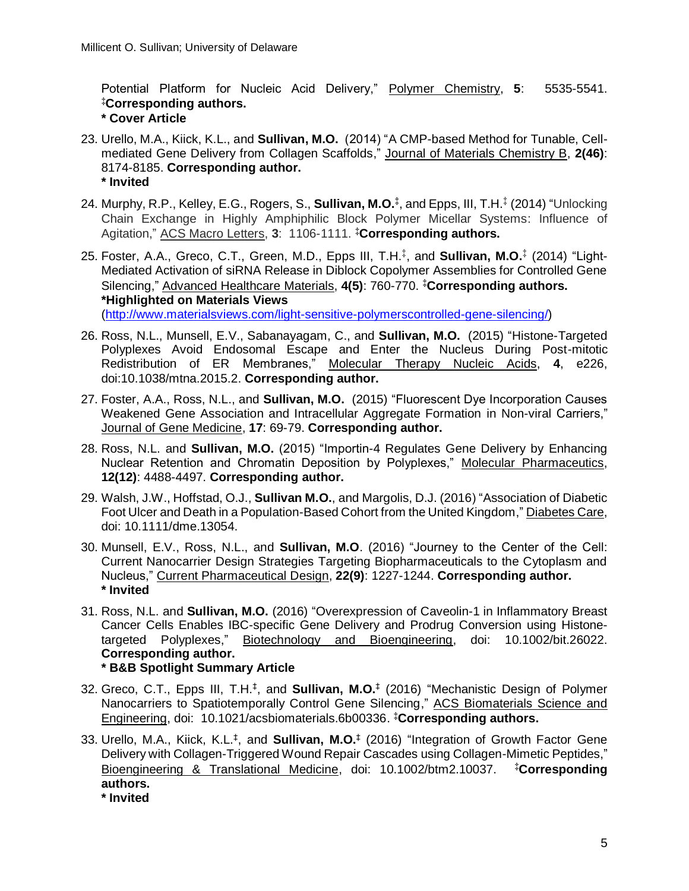Potential Platform for Nucleic Acid Delivery," Polymer Chemistry, **5**: 5535-5541. **‡Corresponding authors. \* Cover Article**

- 23. Urello, M.A., Kiick, K.L., and **Sullivan, M.O.** (2014) "A CMP-based Method for Tunable, Cellmediated Gene Delivery from Collagen Scaffolds," Journal of Materials Chemistry B, **2(46)**: 8174-8185. **Corresponding author. \* Invited**
- 24. Murphy, R.P., Kelley, E.G., Rogers, S., **Sullivan, M.O.‡** , and Epps, III, T.H.‡ (2014) "Unlocking Chain Exchange in Highly Amphiphilic Block Polymer Micellar Systems: Influence of Agitation," ACS Macro Letters, **3**: 1106-1111. **‡Corresponding authors.**
- 25. Foster, A.A., Greco, C.T., Green, M.D., Epps III, T.H. ‡ , and **Sullivan, M.O.**‡ (2014) "Light-Mediated Activation of siRNA Release in Diblock Copolymer Assemblies for Controlled Gene Silencing," Advanced Healthcare Materials, **4(5)**: 760-770. **‡Corresponding authors. \*Highlighted on Materials Views** [\(http://www.materialsviews.com/light-sensitive-polymerscontrolled-gene-silencing/\)](http://www.materialsviews.com/light-sensitive-polymerscontrolled-gene-silencing/)
- 26. Ross, N.L., Munsell, E.V., Sabanayagam, C., and **Sullivan, M.O.** (2015) "Histone-Targeted Polyplexes Avoid Endosomal Escape and Enter the Nucleus During Post-mitotic Redistribution of ER Membranes," Molecular Therapy Nucleic Acids, **4**, e226, doi:10.1038/mtna.2015.2. **Corresponding author.**
- 27. Foster, A.A., Ross, N.L., and **Sullivan, M.O.** (2015) "Fluorescent Dye Incorporation Causes Weakened Gene Association and Intracellular Aggregate Formation in Non-viral Carriers," Journal of Gene Medicine, **17**: 69-79. **Corresponding author.**
- 28. Ross, N.L. and **Sullivan, M.O.** (2015) "Importin-4 Regulates Gene Delivery by Enhancing Nuclear Retention and Chromatin Deposition by Polyplexes," Molecular Pharmaceutics, **12(12)**: 4488-4497. **Corresponding author.**
- 29. Walsh, J.W., Hoffstad, O.J., **Sullivan M.O.**, and Margolis, D.J. (2016) "Association of Diabetic Foot Ulcer and Death in a Population-Based Cohort from the United Kingdom," Diabetes Care, doi: 10.1111/dme.13054.
- 30. Munsell, E.V., Ross, N.L., and **Sullivan, M.O**. (2016) "Journey to the Center of the Cell: Current Nanocarrier Design Strategies Targeting Biopharmaceuticals to the Cytoplasm and Nucleus," Current Pharmaceutical Design, **22(9)**: 1227-1244. **Corresponding author. \* Invited**
- 31. Ross, N.L. and **Sullivan, M.O.** (2016) "Overexpression of Caveolin-1 in Inflammatory Breast Cancer Cells Enables IBC-specific Gene Delivery and Prodrug Conversion using Histonetargeted Polyplexes," Biotechnology and Bioengineering, doi: 10.1002/bit.26022. **Corresponding author. \* B&B Spotlight Summary Article**
- 32. Greco, C.T., Epps III, T.H.‡ , and **Sullivan, M.O.**‡ (2016) "Mechanistic Design of Polymer Nanocarriers to Spatiotemporally Control Gene Silencing," ACS Biomaterials Science and Engineering, doi: 10.1021/acsbiomaterials.6b00336. **‡Corresponding authors.**
- 33. Urello, M.A., Kiick, K.L.‡ , and **Sullivan, M.O.**‡ (2016) "Integration of Growth Factor Gene Delivery with Collagen-Triggered Wound Repair Cascades using Collagen-Mimetic Peptides," Bioengineering & Translational Medicine, doi: 10.1002/btm2.10037. **‡Corresponding authors. \* Invited**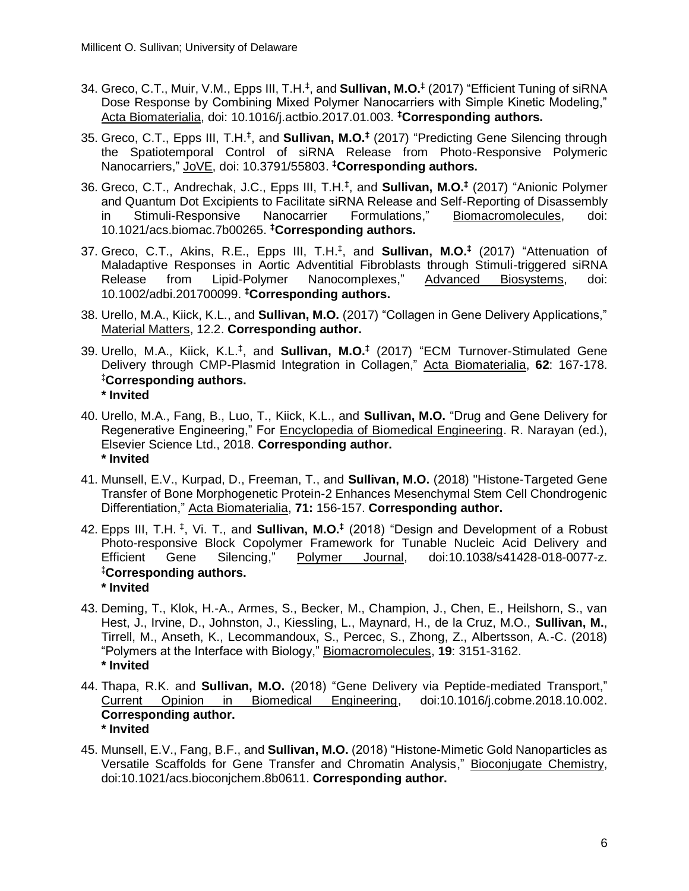- 34. Greco, C.T., Muir, V.M., Epps III, T.H.‡ , and **Sullivan, M.O.**‡ (2017) "Efficient Tuning of siRNA Dose Response by Combining Mixed Polymer Nanocarriers with Simple Kinetic Modeling," Acta Biomaterialia, doi: 10.1016/j.actbio.2017.01.003. **‡Corresponding authors.**
- 35. Greco, C.T., Epps III, T.H.‡ , and **Sullivan, M.O.‡** (2017) "Predicting Gene Silencing through the Spatiotemporal Control of siRNA Release from Photo-Responsive Polymeric Nanocarriers," JoVE, doi: 10.3791/55803. **‡Corresponding authors.**
- 36. Greco, C.T., Andrechak, J.C., Epps III, T.H.‡ , and **Sullivan, M.O.‡** (2017) "Anionic Polymer and Quantum Dot Excipients to Facilitate siRNA Release and Self-Reporting of Disassembly in Stimuli-Responsive Nanocarrier Formulations," Biomacromolecules, doi: 10.1021/acs.biomac.7b00265. **‡Corresponding authors.**
- 37. Greco, C.T., Akins, R.E., Epps III, T.H.‡ , and **Sullivan, M.O.‡** (2017) "Attenuation of Maladaptive Responses in Aortic Adventitial Fibroblasts through Stimuli-triggered siRNA Release from Lipid-Polymer Nanocomplexes," Advanced Biosystems, doi: 10.1002/adbi.201700099. **‡Corresponding authors.**
- 38. Urello, M.A., Kiick, K.L., and **Sullivan, M.O.** (2017) "Collagen in Gene Delivery Applications," Material Matters, 12.2. **Corresponding author.**
- 39. Urello, M.A., Kiick, K.L.‡ , and **Sullivan, M.O.**‡ (2017) "ECM Turnover-Stimulated Gene Delivery through CMP-Plasmid Integration in Collagen," Acta Biomaterialia, **62**: 167-178. **‡Corresponding authors. \* Invited**
- 40. Urello, M.A., Fang, B., Luo, T., Kiick, K.L., and **Sullivan, M.O.** "Drug and Gene Delivery for Regenerative Engineering," For Encyclopedia of Biomedical Engineering. R. Narayan (ed.), Elsevier Science Ltd., 2018. **Corresponding author. \* Invited**
- 41. Munsell, E.V., Kurpad, D., Freeman, T., and **Sullivan, M.O.** (2018) "Histone-Targeted Gene Transfer of Bone Morphogenetic Protein-2 Enhances Mesenchymal Stem Cell Chondrogenic Differentiation," Acta Biomaterialia, **71:** 156-157. **Corresponding author.**
- 42. Epps III, T.H.<sup>‡</sup>, Vi. T., and **Sullivan, M.O.<sup>‡</sup> (2018)** "Design and Development of a Robust Photo-responsive Block Copolymer Framework for Tunable Nucleic Acid Delivery and Efficient Gene Silencing," Polymer Journal, doi:10.1038/s41428-018-0077-z. **‡Corresponding authors. \* Invited**
- 43. Deming, T., Klok, H.-A., Armes, S., Becker, M., Champion, J., Chen, E., Heilshorn, S., van Hest, J., Irvine, D., Johnston, J., Kiessling, L., Maynard, H., de la Cruz, M.O., **Sullivan, M.**, Tirrell, M., Anseth, K., Lecommandoux, S., Percec, S., Zhong, Z., Albertsson, A.-C. (2018) "Polymers at the Interface with Biology," Biomacromolecules, **19**: 3151-3162. **\* Invited**
- 44. Thapa, R.K. and **Sullivan, M.O.** (2018) "Gene Delivery via Peptide-mediated Transport," Current Opinion in Biomedical Engineering, doi:10.1016/j.cobme.2018.10.002. **Corresponding author. \* Invited**
- 45. Munsell, E.V., Fang, B.F., and **Sullivan, M.O.** (2018) "Histone-Mimetic Gold Nanoparticles as Versatile Scaffolds for Gene Transfer and Chromatin Analysis," Bioconjugate Chemistry, doi:10.1021/acs.bioconjchem.8b0611. **Corresponding author.**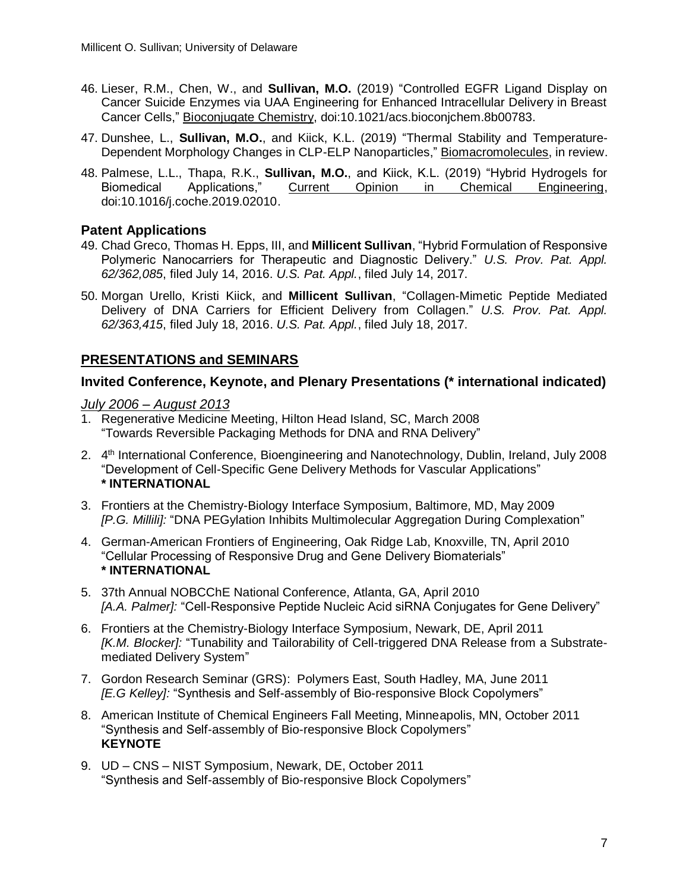- 46. Lieser, R.M., Chen, W., and **Sullivan, M.O.** (2019) "Controlled EGFR Ligand Display on Cancer Suicide Enzymes via UAA Engineering for Enhanced Intracellular Delivery in Breast Cancer Cells," Bioconjugate Chemistry, doi:10.1021/acs.bioconjchem.8b00783.
- 47. Dunshee, L., **Sullivan, M.O.**, and Kiick, K.L. (2019) "Thermal Stability and Temperature-Dependent Morphology Changes in CLP-ELP Nanoparticles," Biomacromolecules, in review.
- 48. Palmese, L.L., Thapa, R.K., **Sullivan, M.O.**, and Kiick, K.L. (2019) "Hybrid Hydrogels for Biomedical Applications," Current Opinion in Chemical Engineering, doi:10.1016/j.coche.2019.02010.

# **Patent Applications**

- 49. Chad Greco, Thomas H. Epps, III, and **Millicent Sullivan**, "Hybrid Formulation of Responsive Polymeric Nanocarriers for Therapeutic and Diagnostic Delivery." *U.S. Prov. Pat. Appl. 62/362,085*, filed July 14, 2016. *U.S. Pat. Appl.*, filed July 14, 2017.
- 50. Morgan Urello, Kristi Kiick, and **Millicent Sullivan**, "Collagen-Mimetic Peptide Mediated Delivery of DNA Carriers for Efficient Delivery from Collagen." *U.S. Prov. Pat. Appl. 62/363,415*, filed July 18, 2016. *U.S. Pat. Appl.*, filed July 18, 2017.

# **PRESENTATIONS and SEMINARS**

# **Invited Conference, Keynote, and Plenary Presentations (\* international indicated)**

#### *July 2006 – August 2013*

- 1. Regenerative Medicine Meeting, Hilton Head Island, SC, March 2008 "Towards Reversible Packaging Methods for DNA and RNA Delivery"
- 2. 4<sup>th</sup> International Conference, Bioengineering and Nanotechnology, Dublin, Ireland, July 2008 "Development of Cell-Specific Gene Delivery Methods for Vascular Applications" **\* INTERNATIONAL**
- 3. Frontiers at the Chemistry-Biology Interface Symposium, Baltimore, MD, May 2009 *[P.G. Millili]:* "DNA PEGylation Inhibits Multimolecular Aggregation During Complexation"
- 4. German-American Frontiers of Engineering, Oak Ridge Lab, Knoxville, TN, April 2010 "Cellular Processing of Responsive Drug and Gene Delivery Biomaterials" **\* INTERNATIONAL**
- 5. 37th Annual NOBCChE National Conference, Atlanta, GA, April 2010 *[A.A. Palmer]:* "Cell-Responsive Peptide Nucleic Acid siRNA Conjugates for Gene Delivery"
- 6. Frontiers at the Chemistry-Biology Interface Symposium, Newark, DE, April 2011 *[K.M. Blocker]:* "Tunability and Tailorability of Cell-triggered DNA Release from a Substratemediated Delivery System"
- 7. Gordon Research Seminar (GRS): Polymers East, South Hadley, MA, June 2011 *[E.G Kelley]:* "Synthesis and Self-assembly of Bio-responsive Block Copolymers"
- 8. American Institute of Chemical Engineers Fall Meeting, Minneapolis, MN, October 2011 "Synthesis and Self-assembly of Bio-responsive Block Copolymers" **KEYNOTE**
- 9. UD CNS NIST Symposium, Newark, DE, October 2011 "Synthesis and Self-assembly of Bio-responsive Block Copolymers"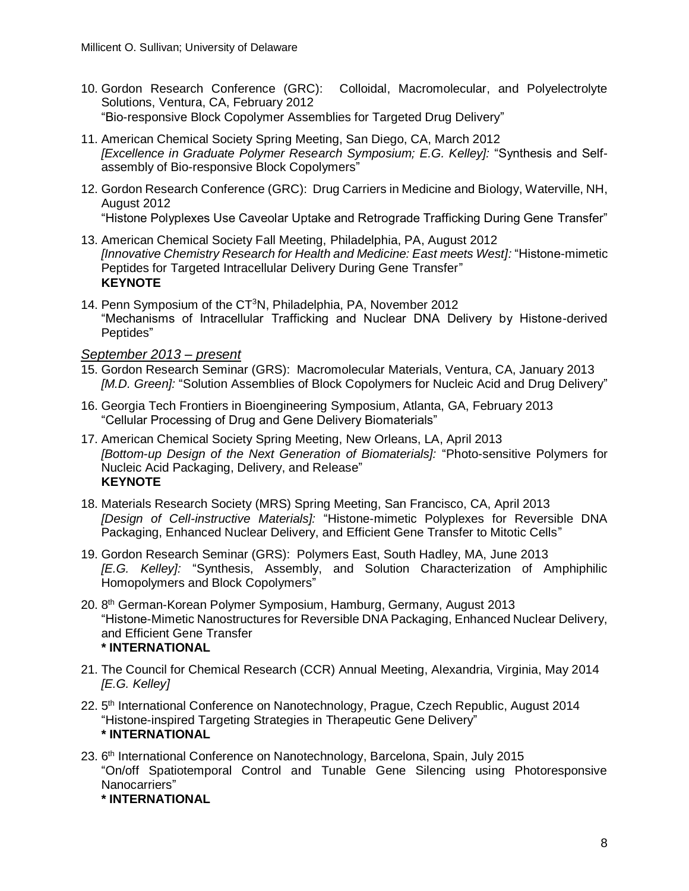- 10. Gordon Research Conference (GRC): Colloidal, Macromolecular, and Polyelectrolyte Solutions, Ventura, CA, February 2012 "Bio-responsive Block Copolymer Assemblies for Targeted Drug Delivery"
- 11. American Chemical Society Spring Meeting, San Diego, CA, March 2012 *[Excellence in Graduate Polymer Research Symposium; E.G. Kelley]:* "Synthesis and Selfassembly of Bio-responsive Block Copolymers"
- 12. Gordon Research Conference (GRC): Drug Carriers in Medicine and Biology, Waterville, NH, August 2012 "Histone Polyplexes Use Caveolar Uptake and Retrograde Trafficking During Gene Transfer"
- 13. American Chemical Society Fall Meeting, Philadelphia, PA, August 2012 *[Innovative Chemistry Research for Health and Medicine: East meets West]:* "Histone-mimetic Peptides for Targeted Intracellular Delivery During Gene Transfer" **KEYNOTE**
- 14. Penn Symposium of the CT<sup>3</sup>N, Philadelphia, PA, November 2012 "Mechanisms of Intracellular Trafficking and Nuclear DNA Delivery by Histone-derived Peptides"

# *September 2013 – present*

- 15. Gordon Research Seminar (GRS): Macromolecular Materials, Ventura, CA, January 2013 *[M.D. Green]:* "Solution Assemblies of Block Copolymers for Nucleic Acid and Drug Delivery"
- 16. Georgia Tech Frontiers in Bioengineering Symposium, Atlanta, GA, February 2013 "Cellular Processing of Drug and Gene Delivery Biomaterials"
- 17. American Chemical Society Spring Meeting, New Orleans, LA, April 2013 *[Bottom-up Design of the Next Generation of Biomaterials]:* "Photo-sensitive Polymers for Nucleic Acid Packaging, Delivery, and Release" **KEYNOTE**
- 18. Materials Research Society (MRS) Spring Meeting, San Francisco, CA, April 2013 *[Design of Cell-instructive Materials]:* "Histone-mimetic Polyplexes for Reversible DNA Packaging, Enhanced Nuclear Delivery, and Efficient Gene Transfer to Mitotic Cells"
- 19. Gordon Research Seminar (GRS): Polymers East, South Hadley, MA, June 2013 *[E.G. Kelley]:* "Synthesis, Assembly, and Solution Characterization of Amphiphilic Homopolymers and Block Copolymers"
- 20. 8<sup>th</sup> German-Korean Polymer Symposium, Hamburg, Germany, August 2013 "Histone-Mimetic Nanostructures for Reversible DNA Packaging, Enhanced Nuclear Delivery, and Efficient Gene Transfer **\* INTERNATIONAL**
- 21. The Council for Chemical Research (CCR) Annual Meeting, Alexandria, Virginia, May 2014 *[E.G. Kelley]*
- 22. 5<sup>th</sup> International Conference on Nanotechnology, Prague, Czech Republic, August 2014 "Histone-inspired Targeting Strategies in Therapeutic Gene Delivery" **\* INTERNATIONAL**
- 23. 6<sup>th</sup> International Conference on Nanotechnology, Barcelona, Spain, July 2015 "On/off Spatiotemporal Control and Tunable Gene Silencing using Photoresponsive Nanocarriers"

#### **\* INTERNATIONAL**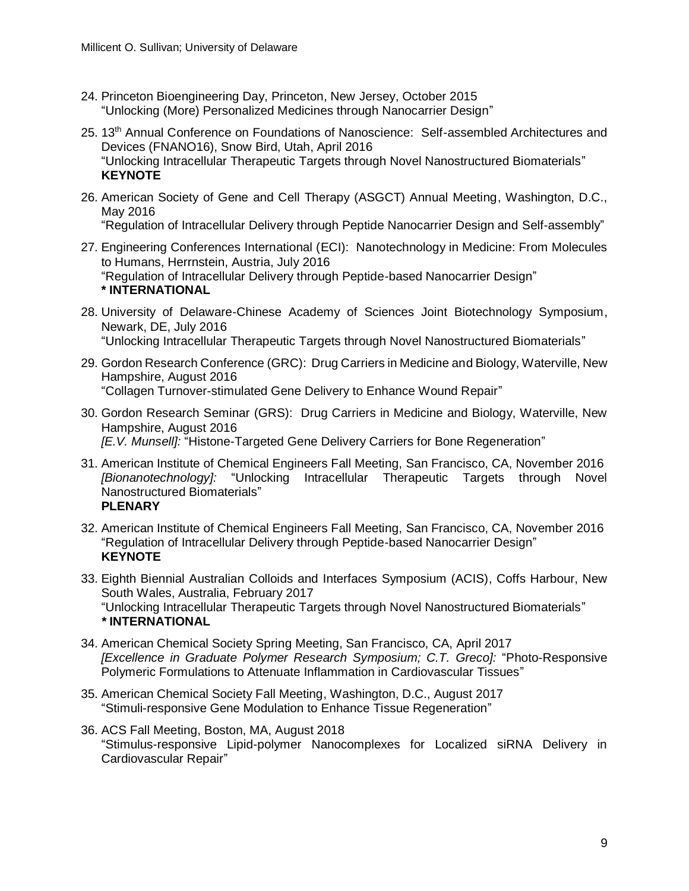- 24. Princeton Bioengineering Day, Princeton, New Jersey, October 2015 "Unlocking (More) Personalized Medicines through Nanocarrier Design"
- 25. 13<sup>th</sup> Annual Conference on Foundations of Nanoscience: Self-assembled Architectures and Devices (FNANO16), Snow Bird, Utah, April 2016 "Unlocking Intracellular Therapeutic Targets through Novel Nanostructured Biomaterials" **KEYNOTE**
- 26. American Society of Gene and Cell Therapy (ASGCT) Annual Meeting, Washington, D.C., May 2016

"Regulation of Intracellular Delivery through Peptide Nanocarrier Design and Self-assembly"

27. Engineering Conferences International (ECI): Nanotechnology in Medicine: From Molecules to Humans, Herrnstein, Austria, July 2016

"Regulation of Intracellular Delivery through Peptide-based Nanocarrier Design" **\* INTERNATIONAL**

- 28. University of Delaware-Chinese Academy of Sciences Joint Biotechnology Symposium, Newark, DE, July 2016 "Unlocking Intracellular Therapeutic Targets through Novel Nanostructured Biomaterials"
- 29. Gordon Research Conference (GRC): Drug Carriers in Medicine and Biology, Waterville, New Hampshire, August 2016 "Collagen Turnover-stimulated Gene Delivery to Enhance Wound Repair"
- 30. Gordon Research Seminar (GRS): Drug Carriers in Medicine and Biology, Waterville, New Hampshire, August 2016 *[E.V. Munsell]:* "Histone-Targeted Gene Delivery Carriers for Bone Regeneration"
- 31. American Institute of Chemical Engineers Fall Meeting, San Francisco, CA, November 2016 *[Bionanotechnology]:* "Unlocking Intracellular Therapeutic Targets through Novel Nanostructured Biomaterials" **PLENARY**
- 32. American Institute of Chemical Engineers Fall Meeting, San Francisco, CA, November 2016 "Regulation of Intracellular Delivery through Peptide-based Nanocarrier Design" **KEYNOTE**
- 33. Eighth Biennial Australian Colloids and Interfaces Symposium (ACIS), Coffs Harbour, New South Wales, Australia, February 2017 "Unlocking Intracellular Therapeutic Targets through Novel Nanostructured Biomaterials" *\** **INTERNATIONAL**
- 34. American Chemical Society Spring Meeting, San Francisco, CA, April 2017 *[Excellence in Graduate Polymer Research Symposium; C.T. Greco]:* "Photo-Responsive Polymeric Formulations to Attenuate Inflammation in Cardiovascular Tissues"
- 35. American Chemical Society Fall Meeting, Washington, D.C., August 2017 "Stimuli-responsive Gene Modulation to Enhance Tissue Regeneration"
- 36. ACS Fall Meeting, Boston, MA, August 2018 "Stimulus-responsive Lipid-polymer Nanocomplexes for Localized siRNA Delivery in Cardiovascular Repair"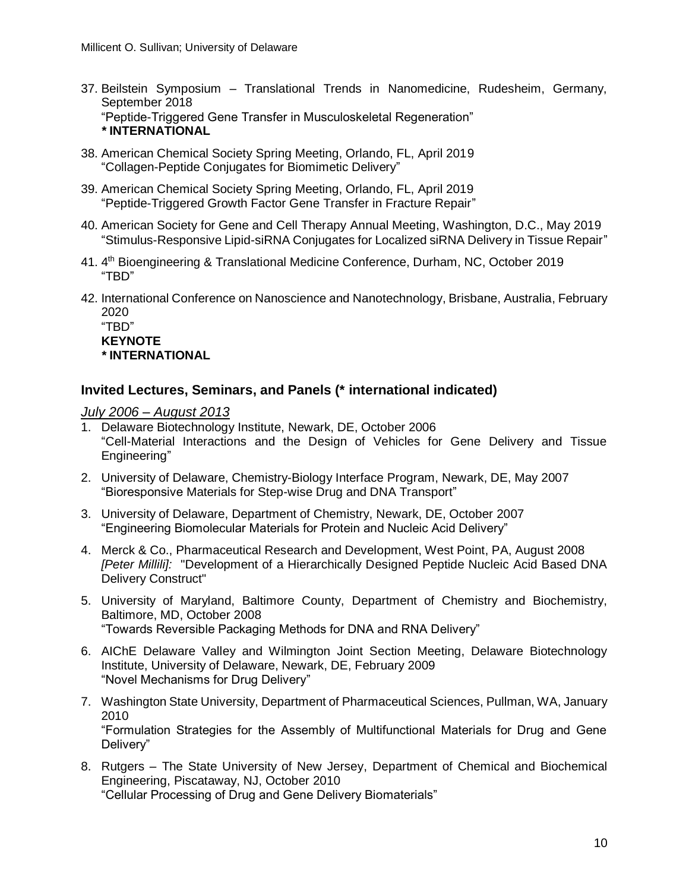- 37. Beilstein Symposium Translational Trends in Nanomedicine, Rudesheim, Germany, September 2018 "Peptide-Triggered Gene Transfer in Musculoskeletal Regeneration" *\** **INTERNATIONAL**
- 38. American Chemical Society Spring Meeting, Orlando, FL, April 2019 "Collagen-Peptide Conjugates for Biomimetic Delivery"
- 39. American Chemical Society Spring Meeting, Orlando, FL, April 2019 "Peptide-Triggered Growth Factor Gene Transfer in Fracture Repair"
- 40. American Society for Gene and Cell Therapy Annual Meeting, Washington, D.C., May 2019 "Stimulus-Responsive Lipid-siRNA Conjugates for Localized siRNA Delivery in Tissue Repair"
- 41. 4<sup>th</sup> Bioengineering & Translational Medicine Conference, Durham, NC, October 2019 "TBD"
- 42. International Conference on Nanoscience and Nanotechnology, Brisbane, Australia, February 2020

"TBD" **KEYNOTE** *\** **INTERNATIONAL**

# **Invited Lectures, Seminars, and Panels (\* international indicated)**

*July 2006 – August 2013*

- 1. Delaware Biotechnology Institute, Newark, DE, October 2006 "Cell-Material Interactions and the Design of Vehicles for Gene Delivery and Tissue Engineering"
- 2. University of Delaware, Chemistry-Biology Interface Program, Newark, DE, May 2007 "Bioresponsive Materials for Step-wise Drug and DNA Transport"
- 3. University of Delaware, Department of Chemistry, Newark, DE, October 2007 "Engineering Biomolecular Materials for Protein and Nucleic Acid Delivery"
- 4. Merck & Co., Pharmaceutical Research and Development, West Point, PA, August 2008 *[Peter Millili]:* "Development of a Hierarchically Designed Peptide Nucleic Acid Based DNA Delivery Construct"
- 5. University of Maryland, Baltimore County, Department of Chemistry and Biochemistry, Baltimore, MD, October 2008 "Towards Reversible Packaging Methods for DNA and RNA Delivery"
- 6. AIChE Delaware Valley and Wilmington Joint Section Meeting, Delaware Biotechnology Institute, University of Delaware, Newark, DE, February 2009 "Novel Mechanisms for Drug Delivery"
- 7. Washington State University, Department of Pharmaceutical Sciences, Pullman, WA, January 2010 "Formulation Strategies for the Assembly of Multifunctional Materials for Drug and Gene Delivery"
- 8. Rutgers The State University of New Jersey, Department of Chemical and Biochemical Engineering, Piscataway, NJ, October 2010 "Cellular Processing of Drug and Gene Delivery Biomaterials"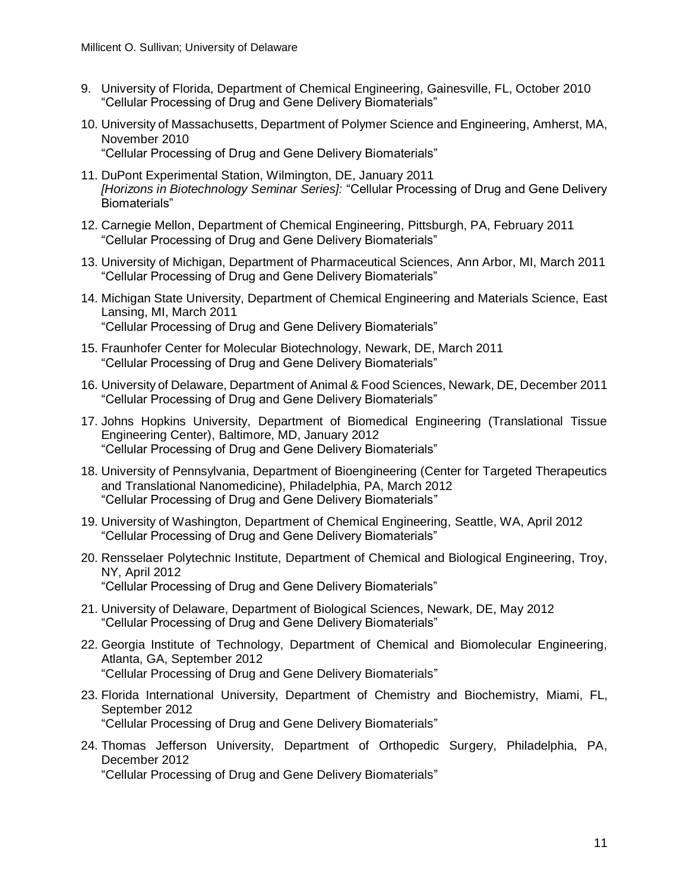- 9. University of Florida, Department of Chemical Engineering, Gainesville, FL, October 2010 "Cellular Processing of Drug and Gene Delivery Biomaterials"
- 10. University of Massachusetts, Department of Polymer Science and Engineering, Amherst, MA, November 2010 "Cellular Processing of Drug and Gene Delivery Biomaterials"
- 11. DuPont Experimental Station, Wilmington, DE, January 2011 *[Horizons in Biotechnology Seminar Series]:* "Cellular Processing of Drug and Gene Delivery Biomaterials"
- 12. Carnegie Mellon, Department of Chemical Engineering, Pittsburgh, PA, February 2011 "Cellular Processing of Drug and Gene Delivery Biomaterials"
- 13. University of Michigan, Department of Pharmaceutical Sciences, Ann Arbor, MI, March 2011 "Cellular Processing of Drug and Gene Delivery Biomaterials"
- 14. Michigan State University, Department of Chemical Engineering and Materials Science, East Lansing, MI, March 2011 "Cellular Processing of Drug and Gene Delivery Biomaterials"
- 15. Fraunhofer Center for Molecular Biotechnology, Newark, DE, March 2011 "Cellular Processing of Drug and Gene Delivery Biomaterials"
- 16. University of Delaware, Department of Animal & Food Sciences, Newark, DE, December 2011 "Cellular Processing of Drug and Gene Delivery Biomaterials"
- 17. Johns Hopkins University, Department of Biomedical Engineering (Translational Tissue Engineering Center), Baltimore, MD, January 2012 "Cellular Processing of Drug and Gene Delivery Biomaterials"
- 18. University of Pennsylvania, Department of Bioengineering (Center for Targeted Therapeutics and Translational Nanomedicine), Philadelphia, PA, March 2012 "Cellular Processing of Drug and Gene Delivery Biomaterials"
- 19. University of Washington, Department of Chemical Engineering, Seattle, WA, April 2012 "Cellular Processing of Drug and Gene Delivery Biomaterials"
- 20. Rensselaer Polytechnic Institute, Department of Chemical and Biological Engineering, Troy, NY, April 2012 "Cellular Processing of Drug and Gene Delivery Biomaterials"
- 21. University of Delaware, Department of Biological Sciences, Newark, DE, May 2012 "Cellular Processing of Drug and Gene Delivery Biomaterials"
- 22. Georgia Institute of Technology, Department of Chemical and Biomolecular Engineering, Atlanta, GA, September 2012 "Cellular Processing of Drug and Gene Delivery Biomaterials"
- 23. Florida International University, Department of Chemistry and Biochemistry, Miami, FL, September 2012 "Cellular Processing of Drug and Gene Delivery Biomaterials"
- 24. Thomas Jefferson University, Department of Orthopedic Surgery, Philadelphia, PA, December 2012

"Cellular Processing of Drug and Gene Delivery Biomaterials"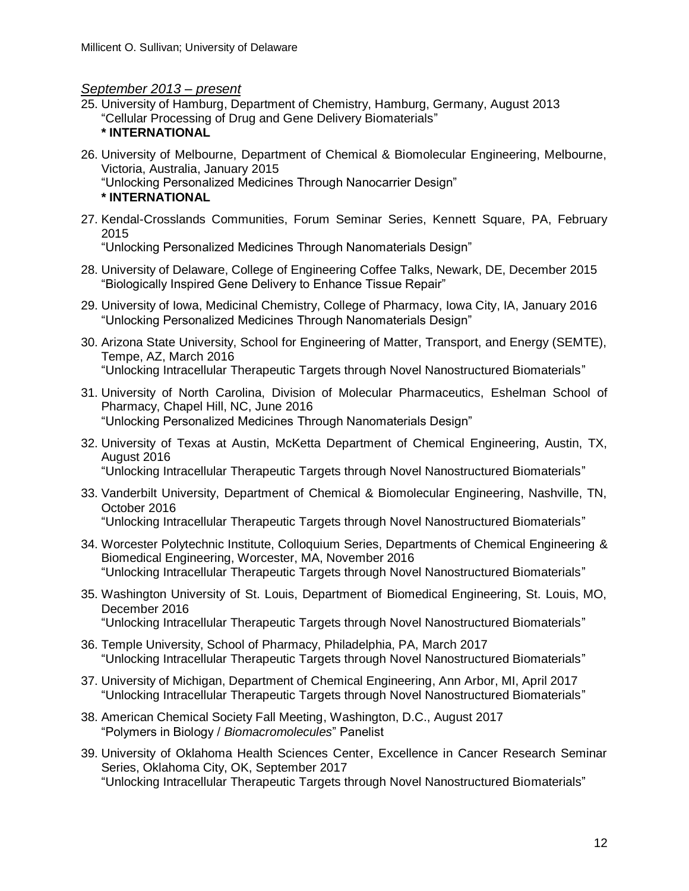# *September 2013 – present*

25. University of Hamburg, Department of Chemistry, Hamburg, Germany, August 2013 "Cellular Processing of Drug and Gene Delivery Biomaterials"

#### **\* INTERNATIONAL**

- 26. University of Melbourne, Department of Chemical & Biomolecular Engineering, Melbourne, Victoria, Australia, January 2015
	- "Unlocking Personalized Medicines Through Nanocarrier Design"

#### **\* INTERNATIONAL**

27. Kendal-Crosslands Communities, Forum Seminar Series, Kennett Square, PA, February 2015

"Unlocking Personalized Medicines Through Nanomaterials Design"

- 28. University of Delaware, College of Engineering Coffee Talks, Newark, DE, December 2015 "Biologically Inspired Gene Delivery to Enhance Tissue Repair"
- 29. University of Iowa, Medicinal Chemistry, College of Pharmacy, Iowa City, IA, January 2016 "Unlocking Personalized Medicines Through Nanomaterials Design"
- 30. Arizona State University, School for Engineering of Matter, Transport, and Energy (SEMTE), Tempe, AZ, March 2016 "Unlocking Intracellular Therapeutic Targets through Novel Nanostructured Biomaterials"
- 31. University of North Carolina, Division of Molecular Pharmaceutics, Eshelman School of Pharmacy, Chapel Hill, NC, June 2016 "Unlocking Personalized Medicines Through Nanomaterials Design"
- 32. University of Texas at Austin, McKetta Department of Chemical Engineering, Austin, TX, August 2016 "Unlocking Intracellular Therapeutic Targets through Novel Nanostructured Biomaterials"
- 33. Vanderbilt University, Department of Chemical & Biomolecular Engineering, Nashville, TN, October 2016

"Unlocking Intracellular Therapeutic Targets through Novel Nanostructured Biomaterials"

- 34. Worcester Polytechnic Institute, Colloquium Series, Departments of Chemical Engineering & Biomedical Engineering, Worcester, MA, November 2016 "Unlocking Intracellular Therapeutic Targets through Novel Nanostructured Biomaterials"
- 35. Washington University of St. Louis, Department of Biomedical Engineering, St. Louis, MO, December 2016 "Unlocking Intracellular Therapeutic Targets through Novel Nanostructured Biomaterials"
- 36. Temple University, School of Pharmacy, Philadelphia, PA, March 2017 "Unlocking Intracellular Therapeutic Targets through Novel Nanostructured Biomaterials"
- 37. University of Michigan, Department of Chemical Engineering, Ann Arbor, MI, April 2017 "Unlocking Intracellular Therapeutic Targets through Novel Nanostructured Biomaterials"
- 38. American Chemical Society Fall Meeting, Washington, D.C., August 2017 "Polymers in Biology / *Biomacromolecules*" Panelist
- 39. University of Oklahoma Health Sciences Center, Excellence in Cancer Research Seminar Series, Oklahoma City, OK, September 2017 "Unlocking Intracellular Therapeutic Targets through Novel Nanostructured Biomaterials"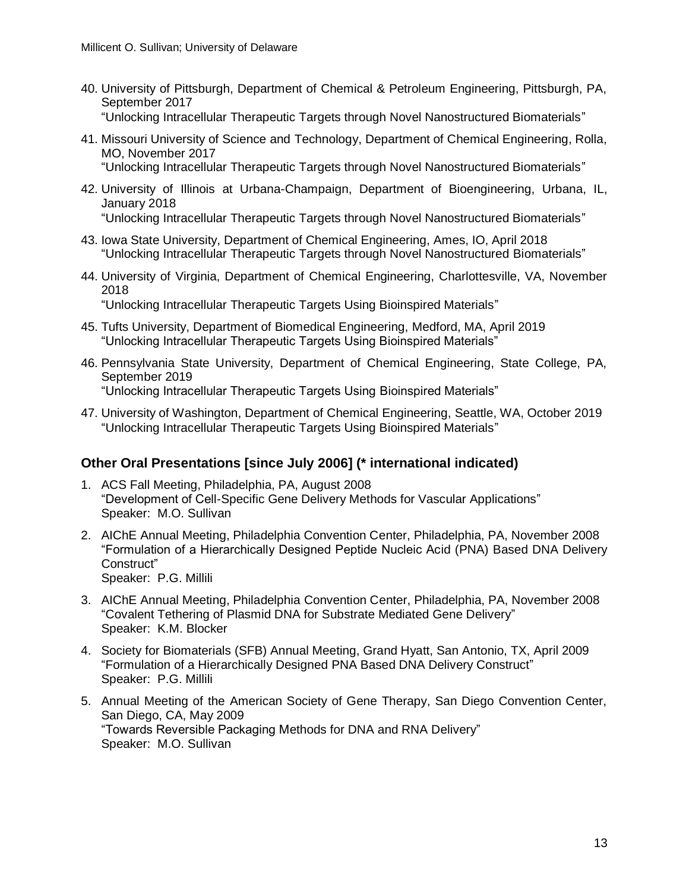- 40. University of Pittsburgh, Department of Chemical & Petroleum Engineering, Pittsburgh, PA, September 2017 "Unlocking Intracellular Therapeutic Targets through Novel Nanostructured Biomaterials"
- 41. Missouri University of Science and Technology, Department of Chemical Engineering, Rolla, MO, November 2017
	- "Unlocking Intracellular Therapeutic Targets through Novel Nanostructured Biomaterials"
- 42. University of Illinois at Urbana-Champaign, Department of Bioengineering, Urbana, IL, January 2018
	- "Unlocking Intracellular Therapeutic Targets through Novel Nanostructured Biomaterials"
- 43. Iowa State University, Department of Chemical Engineering, Ames, IO, April 2018 "Unlocking Intracellular Therapeutic Targets through Novel Nanostructured Biomaterials"
- 44. University of Virginia, Department of Chemical Engineering, Charlottesville, VA, November 2018

"Unlocking Intracellular Therapeutic Targets Using Bioinspired Materials"

- 45. Tufts University, Department of Biomedical Engineering, Medford, MA, April 2019 "Unlocking Intracellular Therapeutic Targets Using Bioinspired Materials"
- 46. Pennsylvania State University, Department of Chemical Engineering, State College, PA, September 2019 "Unlocking Intracellular Therapeutic Targets Using Bioinspired Materials"
- 47. University of Washington, Department of Chemical Engineering, Seattle, WA, October 2019 "Unlocking Intracellular Therapeutic Targets Using Bioinspired Materials"

# **Other Oral Presentations [since July 2006] (\* international indicated)**

- 1. ACS Fall Meeting, Philadelphia, PA, August 2008 "Development of Cell-Specific Gene Delivery Methods for Vascular Applications" Speaker: M.O. Sullivan
- 2. AIChE Annual Meeting, Philadelphia Convention Center, Philadelphia, PA, November 2008 "Formulation of a Hierarchically Designed Peptide Nucleic Acid (PNA) Based DNA Delivery Construct" Speaker: P.G. Millili
- 3. AIChE Annual Meeting, Philadelphia Convention Center, Philadelphia, PA, November 2008 "Covalent Tethering of Plasmid DNA for Substrate Mediated Gene Delivery" Speaker: K.M. Blocker
- 4. Society for Biomaterials (SFB) Annual Meeting, Grand Hyatt, San Antonio, TX, April 2009 "Formulation of a Hierarchically Designed PNA Based DNA Delivery Construct" Speaker: P.G. Millili
- 5. Annual Meeting of the American Society of Gene Therapy, San Diego Convention Center, San Diego, CA, May 2009 "Towards Reversible Packaging Methods for DNA and RNA Delivery" Speaker: M.O. Sullivan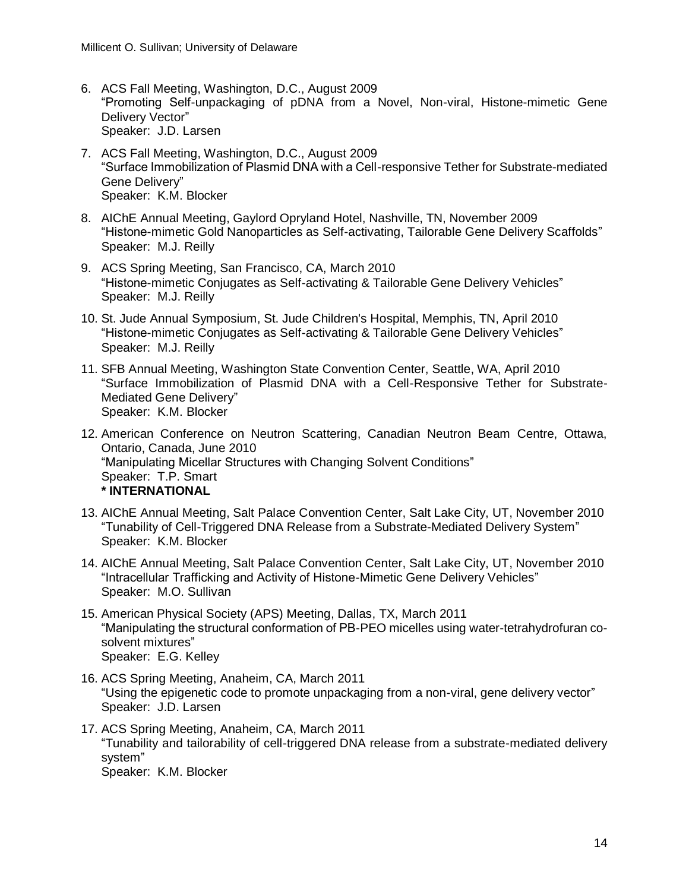- 6. ACS Fall Meeting, Washington, D.C., August 2009 "Promoting Self-unpackaging of pDNA from a Novel, Non-viral, Histone-mimetic Gene Delivery Vector" Speaker: J.D. Larsen
- 7. ACS Fall Meeting, Washington, D.C., August 2009 "Surface Immobilization of Plasmid DNA with a Cell-responsive Tether for Substrate-mediated Gene Delivery" Speaker: K.M. Blocker
- 8. AIChE Annual Meeting, Gaylord Opryland Hotel, Nashville, TN, November 2009 "Histone-mimetic Gold Nanoparticles as Self-activating, Tailorable Gene Delivery Scaffolds" Speaker: M.J. Reilly
- 9. ACS Spring Meeting, San Francisco, CA, March 2010 "Histone-mimetic Conjugates as Self-activating & Tailorable Gene Delivery Vehicles" Speaker: M.J. Reilly
- 10. St. Jude Annual Symposium, St. Jude Children's Hospital, Memphis, TN, April 2010 "Histone-mimetic Conjugates as Self-activating & Tailorable Gene Delivery Vehicles" Speaker: M.J. Reilly
- 11. SFB Annual Meeting, Washington State Convention Center, Seattle, WA, April 2010 "Surface Immobilization of Plasmid DNA with a Cell-Responsive Tether for Substrate-Mediated Gene Delivery" Speaker: K.M. Blocker
- 12. American Conference on Neutron Scattering, Canadian Neutron Beam Centre, Ottawa, Ontario, Canada, June 2010 "Manipulating Micellar Structures with Changing Solvent Conditions" Speaker: T.P. Smart **\* INTERNATIONAL**
- 13. AIChE Annual Meeting, Salt Palace Convention Center, Salt Lake City, UT, November 2010 "Tunability of Cell-Triggered DNA Release from a Substrate-Mediated Delivery System" Speaker: K.M. Blocker
- 14. AIChE Annual Meeting, Salt Palace Convention Center, Salt Lake City, UT, November 2010 "Intracellular Trafficking and Activity of Histone-Mimetic Gene Delivery Vehicles" Speaker: M.O. Sullivan
- 15. American Physical Society (APS) Meeting, Dallas, TX, March 2011 "Manipulating the structural conformation of PB-PEO micelles using water-tetrahydrofuran cosolvent mixtures" Speaker: E.G. Kelley
- 16. ACS Spring Meeting, Anaheim, CA, March 2011 "Using the epigenetic code to promote unpackaging from a non-viral, gene delivery vector" Speaker: J.D. Larsen
- 17. ACS Spring Meeting, Anaheim, CA, March 2011 "Tunability and tailorability of cell-triggered DNA release from a substrate-mediated delivery system"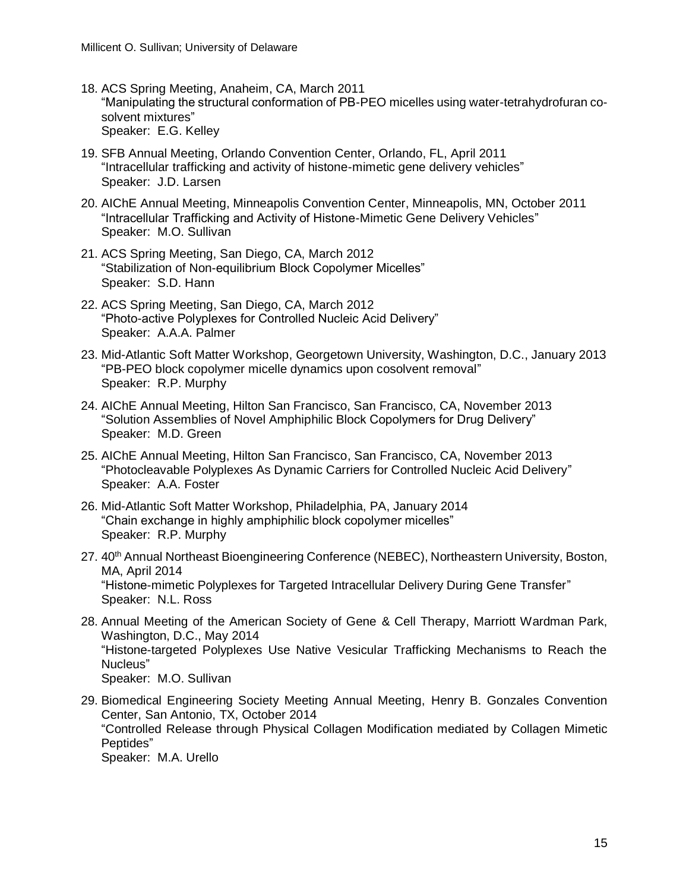- 18. ACS Spring Meeting, Anaheim, CA, March 2011 "Manipulating the structural conformation of PB-PEO micelles using water-tetrahydrofuran cosolvent mixtures" Speaker: E.G. Kelley
- 19. SFB Annual Meeting, Orlando Convention Center, Orlando, FL, April 2011 "Intracellular trafficking and activity of histone-mimetic gene delivery vehicles" Speaker: J.D. Larsen
- 20. AIChE Annual Meeting, Minneapolis Convention Center, Minneapolis, MN, October 2011 "Intracellular Trafficking and Activity of Histone-Mimetic Gene Delivery Vehicles" Speaker: M.O. Sullivan
- 21. ACS Spring Meeting, San Diego, CA, March 2012 "Stabilization of Non-equilibrium Block Copolymer Micelles" Speaker: S.D. Hann
- 22. ACS Spring Meeting, San Diego, CA, March 2012 "Photo-active Polyplexes for Controlled Nucleic Acid Delivery" Speaker: A.A.A. Palmer
- 23. Mid-Atlantic Soft Matter Workshop, Georgetown University, Washington, D.C., January 2013 "PB-PEO block copolymer micelle dynamics upon cosolvent removal" Speaker: R.P. Murphy
- 24. AIChE Annual Meeting, Hilton San Francisco, San Francisco, CA, November 2013 "Solution Assemblies of Novel Amphiphilic Block Copolymers for Drug Delivery" Speaker: M.D. Green
- 25. AIChE Annual Meeting, Hilton San Francisco, San Francisco, CA, November 2013 "Photocleavable Polyplexes As Dynamic Carriers for Controlled Nucleic Acid Delivery" Speaker: A.A. Foster
- 26. Mid-Atlantic Soft Matter Workshop, Philadelphia, PA, January 2014 "Chain exchange in highly amphiphilic block copolymer micelles" Speaker: R.P. Murphy
- 27. 40<sup>th</sup> Annual Northeast Bioengineering Conference (NEBEC), Northeastern University, Boston, MA, April 2014 "Histone-mimetic Polyplexes for Targeted Intracellular Delivery During Gene Transfer" Speaker: N.L. Ross
- 28. Annual Meeting of the American Society of Gene & Cell Therapy, Marriott Wardman Park, Washington, D.C., May 2014 "Histone-targeted Polyplexes Use Native Vesicular Trafficking Mechanisms to Reach the Nucleus" Speaker: M.O. Sullivan
- 29. Biomedical Engineering Society Meeting Annual Meeting, Henry B. Gonzales Convention Center, San Antonio, TX, October 2014 "Controlled Release through Physical Collagen Modification mediated by Collagen Mimetic Peptides" Speaker: M.A. Urello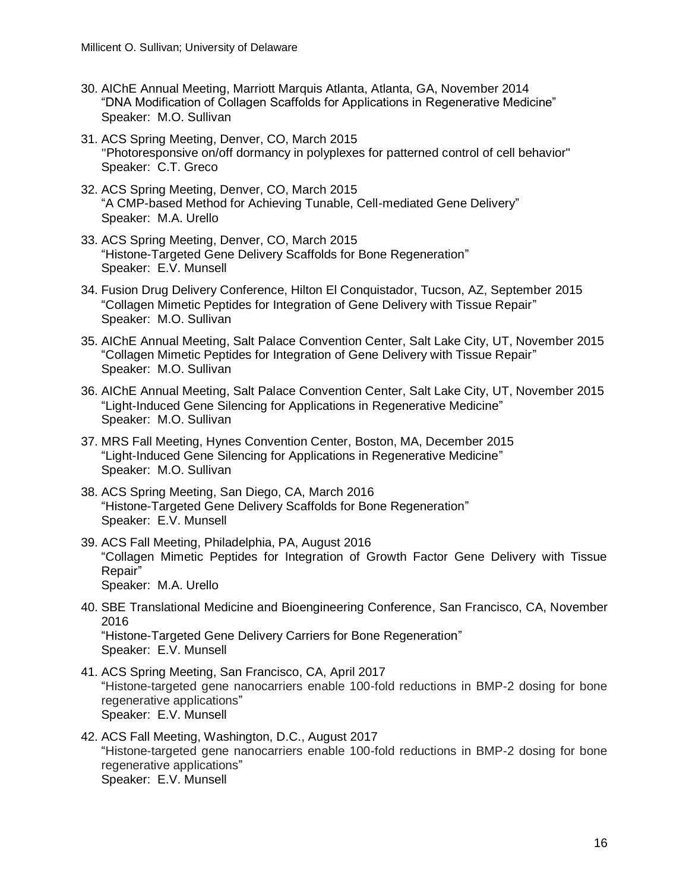- 30. AIChE Annual Meeting, Marriott Marquis Atlanta, Atlanta, GA, November 2014 "DNA Modification of Collagen Scaffolds for Applications in Regenerative Medicine" Speaker: M.O. Sullivan
- 31. ACS Spring Meeting, Denver, CO, March 2015 "Photoresponsive on/off dormancy in polyplexes for patterned control of cell behavior" Speaker: C.T. Greco
- 32. ACS Spring Meeting, Denver, CO, March 2015 "A CMP-based Method for Achieving Tunable, Cell-mediated Gene Delivery" Speaker: M.A. Urello
- 33. ACS Spring Meeting, Denver, CO, March 2015 "Histone-Targeted Gene Delivery Scaffolds for Bone Regeneration" Speaker: E.V. Munsell
- 34. Fusion Drug Delivery Conference, Hilton El Conquistador, Tucson, AZ, September 2015 "Collagen Mimetic Peptides for Integration of Gene Delivery with Tissue Repair" Speaker: M.O. Sullivan
- 35. AIChE Annual Meeting, Salt Palace Convention Center, Salt Lake City, UT, November 2015 "Collagen Mimetic Peptides for Integration of Gene Delivery with Tissue Repair" Speaker: M.O. Sullivan
- 36. AIChE Annual Meeting, Salt Palace Convention Center, Salt Lake City, UT, November 2015 "Light-Induced Gene Silencing for Applications in Regenerative Medicine" Speaker: M.O. Sullivan
- 37. MRS Fall Meeting, Hynes Convention Center, Boston, MA, December 2015 "Light-Induced Gene Silencing for Applications in Regenerative Medicine" Speaker: M.O. Sullivan
- 38. ACS Spring Meeting, San Diego, CA, March 2016 "Histone-Targeted Gene Delivery Scaffolds for Bone Regeneration" Speaker: E.V. Munsell
- 39. ACS Fall Meeting, Philadelphia, PA, August 2016 "Collagen Mimetic Peptides for Integration of Growth Factor Gene Delivery with Tissue Repair" Speaker: M.A. Urello
- 40. SBE Translational Medicine and Bioengineering Conference, San Francisco, CA, November 2016 "Histone-Targeted Gene Delivery Carriers for Bone Regeneration" Speaker: E.V. Munsell
- 41. ACS Spring Meeting, San Francisco, CA, April 2017 "Histone-targeted gene nanocarriers enable 100-fold reductions in BMP-2 dosing for bone regenerative applications" Speaker: E.V. Munsell
- 42. ACS Fall Meeting, Washington, D.C., August 2017 "Histone-targeted gene nanocarriers enable 100-fold reductions in BMP-2 dosing for bone regenerative applications" Speaker: E.V. Munsell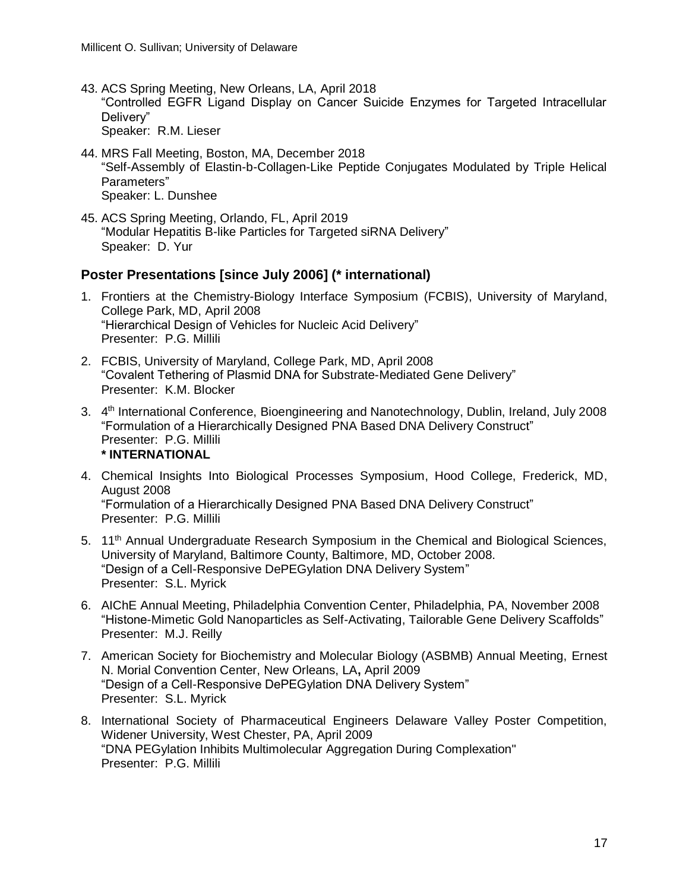- 43. ACS Spring Meeting, New Orleans, LA, April 2018 "Controlled EGFR Ligand Display on Cancer Suicide Enzymes for Targeted Intracellular Delivery" Speaker: R.M. Lieser
- 44. MRS Fall Meeting, Boston, MA, December 2018 "Self-Assembly of Elastin-b-Collagen-Like Peptide Conjugates Modulated by Triple Helical Parameters" Speaker: L. Dunshee
- 45. ACS Spring Meeting, Orlando, FL, April 2019 "Modular Hepatitis B-like Particles for Targeted siRNA Delivery" Speaker: D. Yur

# **Poster Presentations [since July 2006] (\* international)**

- 1. Frontiers at the Chemistry-Biology Interface Symposium (FCBIS), University of Maryland, College Park, MD, April 2008 "Hierarchical Design of Vehicles for Nucleic Acid Delivery" Presenter: P.G. Millili
- 2. FCBIS, University of Maryland, College Park, MD, April 2008 "Covalent Tethering of Plasmid DNA for Substrate-Mediated Gene Delivery" Presenter: K.M. Blocker
- 3. 4<sup>th</sup> International Conference, Bioengineering and Nanotechnology, Dublin, Ireland, July 2008 "Formulation of a Hierarchically Designed PNA Based DNA Delivery Construct" Presenter: P.G. Millili **\* INTERNATIONAL**
- 4. Chemical Insights Into Biological Processes Symposium, Hood College, Frederick, MD, August 2008 "Formulation of a Hierarchically Designed PNA Based DNA Delivery Construct" Presenter: P.G. Millili
- 5. 11th Annual Undergraduate Research Symposium in the Chemical and Biological Sciences, University of Maryland, Baltimore County, Baltimore, MD, October 2008. "Design of a Cell-Responsive DePEGylation DNA Delivery System" Presenter: S.L. Myrick
- 6. AIChE Annual Meeting, Philadelphia Convention Center, Philadelphia, PA, November 2008 "Histone-Mimetic Gold Nanoparticles as Self-Activating, Tailorable Gene Delivery Scaffolds" Presenter: M.J. Reilly
- 7. American Society for Biochemistry and Molecular Biology (ASBMB) Annual Meeting, Ernest N. Morial Convention Center, New Orleans, LA**,** April 2009 "Design of a Cell-Responsive DePEGylation DNA Delivery System" Presenter: S.L. Myrick
- 8. International Society of Pharmaceutical Engineers Delaware Valley Poster Competition, Widener University, West Chester, PA, April 2009 "DNA PEGylation Inhibits Multimolecular Aggregation During Complexation" Presenter: P.G. Millili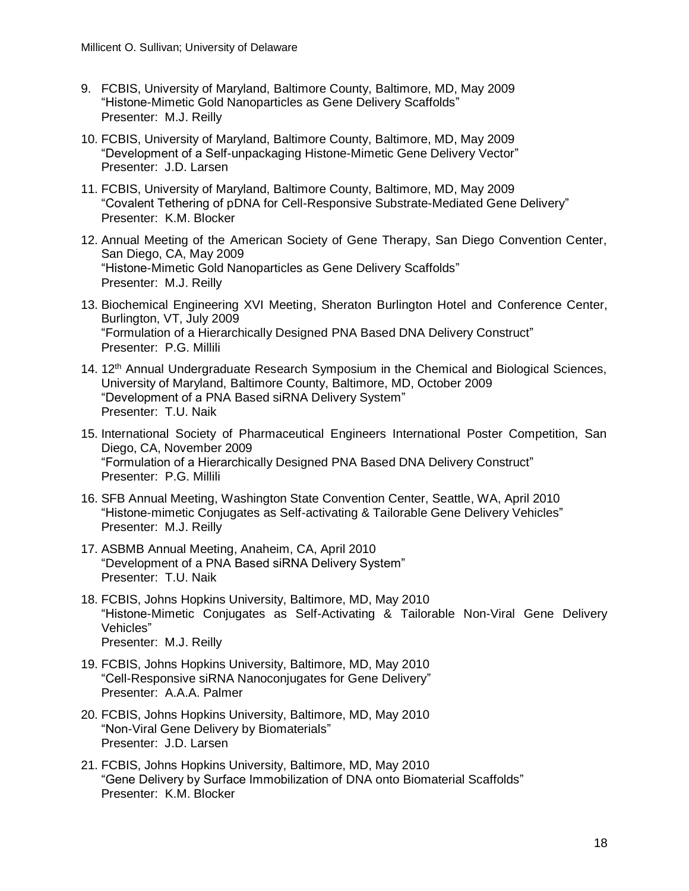- 9. FCBIS, University of Maryland, Baltimore County, Baltimore, MD, May 2009 "Histone-Mimetic Gold Nanoparticles as Gene Delivery Scaffolds" Presenter: M.J. Reilly
- 10. FCBIS, University of Maryland, Baltimore County, Baltimore, MD, May 2009 "Development of a Self-unpackaging Histone-Mimetic Gene Delivery Vector" Presenter: J.D. Larsen
- 11. FCBIS, University of Maryland, Baltimore County, Baltimore, MD, May 2009 "Covalent Tethering of pDNA for Cell-Responsive Substrate-Mediated Gene Delivery" Presenter: K.M. Blocker
- 12. Annual Meeting of the American Society of Gene Therapy, San Diego Convention Center, San Diego, CA, May 2009 "Histone-Mimetic Gold Nanoparticles as Gene Delivery Scaffolds" Presenter: M.J. Reilly
- 13. Biochemical Engineering XVI Meeting, Sheraton Burlington Hotel and Conference Center, Burlington, VT, July 2009 "Formulation of a Hierarchically Designed PNA Based DNA Delivery Construct" Presenter: P.G. Millili
- 14. 12<sup>th</sup> Annual Undergraduate Research Symposium in the Chemical and Biological Sciences, University of Maryland, Baltimore County, Baltimore, MD, October 2009 "Development of a PNA Based siRNA Delivery System" Presenter: T.U. Naik
- 15. International Society of Pharmaceutical Engineers International Poster Competition, San Diego, CA, November 2009 "Formulation of a Hierarchically Designed PNA Based DNA Delivery Construct" Presenter: P.G. Millili
- 16. SFB Annual Meeting, Washington State Convention Center, Seattle, WA, April 2010 "Histone-mimetic Conjugates as Self-activating & Tailorable Gene Delivery Vehicles" Presenter: M.J. Reilly
- 17. ASBMB Annual Meeting, Anaheim, CA, April 2010 "Development of a PNA Based siRNA Delivery System" Presenter: T.U. Naik
- 18. FCBIS, Johns Hopkins University, Baltimore, MD, May 2010 "Histone-Mimetic Conjugates as Self-Activating & Tailorable Non-Viral Gene Delivery Vehicles" Presenter: M.J. Reilly
- 19. FCBIS, Johns Hopkins University, Baltimore, MD, May 2010 "Cell-Responsive siRNA Nanoconjugates for Gene Delivery" Presenter: A.A.A. Palmer
- 20. FCBIS, Johns Hopkins University, Baltimore, MD, May 2010 "Non-Viral Gene Delivery by Biomaterials" Presenter: J.D. Larsen
- 21. FCBIS, Johns Hopkins University, Baltimore, MD, May 2010 "Gene Delivery by Surface Immobilization of DNA onto Biomaterial Scaffolds" Presenter: K.M. Blocker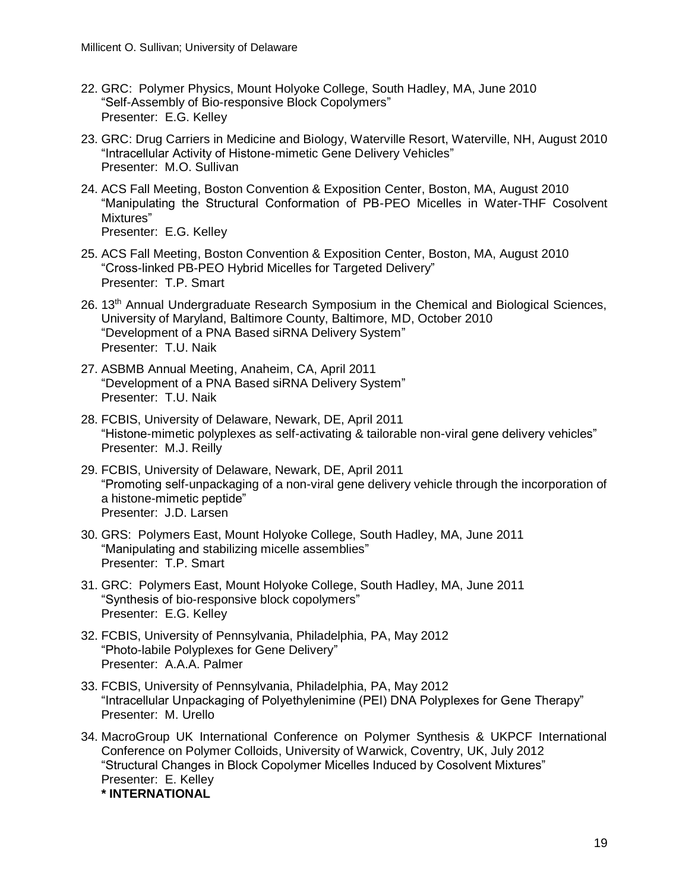- 22. GRC: Polymer Physics, Mount Holyoke College, South Hadley, MA, June 2010 "Self-Assembly of Bio-responsive Block Copolymers" Presenter: E.G. Kelley
- 23. GRC: Drug Carriers in Medicine and Biology, Waterville Resort, Waterville, NH, August 2010 "Intracellular Activity of Histone-mimetic Gene Delivery Vehicles" Presenter: M.O. Sullivan
- 24. ACS Fall Meeting, Boston Convention & Exposition Center, Boston, MA, August 2010 "Manipulating the Structural Conformation of PB-PEO Micelles in Water-THF Cosolvent Mixtures"

Presenter: E.G. Kelley

- 25. ACS Fall Meeting, Boston Convention & Exposition Center, Boston, MA, August 2010 "Cross-linked PB-PEO Hybrid Micelles for Targeted Delivery" Presenter: T.P. Smart
- 26. 13th Annual Undergraduate Research Symposium in the Chemical and Biological Sciences, University of Maryland, Baltimore County, Baltimore, MD, October 2010 "Development of a PNA Based siRNA Delivery System" Presenter: T.U. Naik
- 27. ASBMB Annual Meeting, Anaheim, CA, April 2011 "Development of a PNA Based siRNA Delivery System" Presenter: T.U. Naik
- 28. FCBIS, University of Delaware, Newark, DE, April 2011 "Histone-mimetic polyplexes as self-activating & tailorable non-viral gene delivery vehicles" Presenter: M.J. Reilly
- 29. FCBIS, University of Delaware, Newark, DE, April 2011 "Promoting self-unpackaging of a non-viral gene delivery vehicle through the incorporation of a histone-mimetic peptide" Presenter: J.D. Larsen
- 30. GRS: Polymers East, Mount Holyoke College, South Hadley, MA, June 2011 "Manipulating and stabilizing micelle assemblies" Presenter: T.P. Smart
- 31. GRC: Polymers East, Mount Holyoke College, South Hadley, MA, June 2011 "Synthesis of bio-responsive block copolymers" Presenter: E.G. Kelley
- 32. FCBIS, University of Pennsylvania, Philadelphia, PA, May 2012 "Photo-labile Polyplexes for Gene Delivery" Presenter: A.A.A. Palmer
- 33. FCBIS, University of Pennsylvania, Philadelphia, PA, May 2012 "Intracellular Unpackaging of Polyethylenimine (PEI) DNA Polyplexes for Gene Therapy" Presenter: M. Urello
- 34. MacroGroup UK International Conference on Polymer Synthesis & UKPCF International Conference on Polymer Colloids, University of Warwick, Coventry, UK, July 2012 "Structural Changes in Block Copolymer Micelles Induced by Cosolvent Mixtures" Presenter: E. Kelley **\* INTERNATIONAL**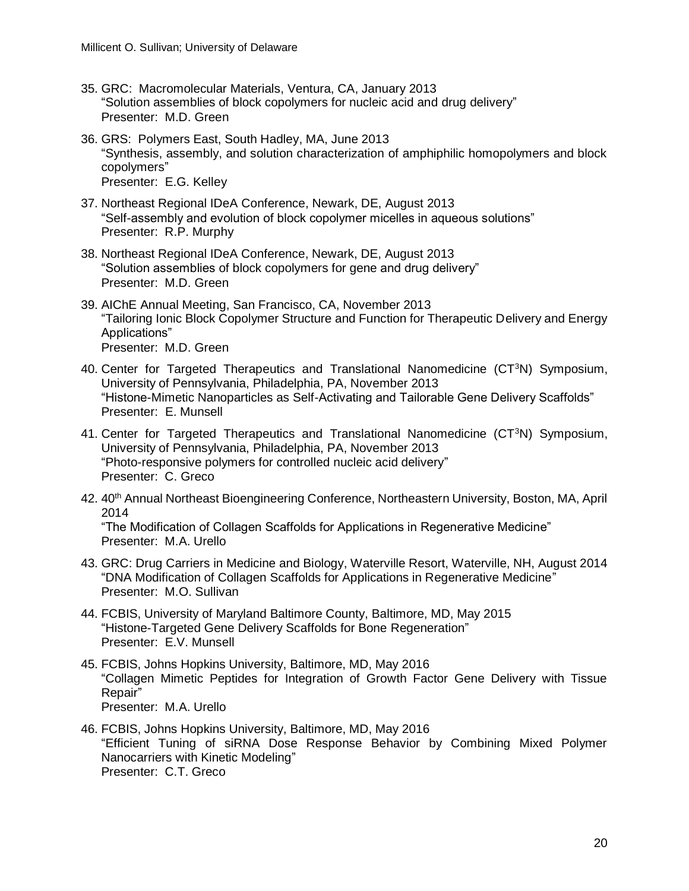- 35. GRC: Macromolecular Materials, Ventura, CA, January 2013 "Solution assemblies of block copolymers for nucleic acid and drug delivery" Presenter: M.D. Green
- 36. GRS: Polymers East, South Hadley, MA, June 2013 "Synthesis, assembly, and solution characterization of amphiphilic homopolymers and block copolymers" Presenter: E.G. Kelley
- 37. Northeast Regional IDeA Conference, Newark, DE, August 2013 "Self-assembly and evolution of block copolymer micelles in aqueous solutions" Presenter: R.P. Murphy
- 38. Northeast Regional IDeA Conference, Newark, DE, August 2013 "Solution assemblies of block copolymers for gene and drug delivery" Presenter: M.D. Green
- 39. AIChE Annual Meeting, San Francisco, CA, November 2013 "Tailoring Ionic Block Copolymer Structure and Function for Therapeutic Delivery and Energy Applications" Presenter: M.D. Green
- 40. Center for Targeted Therapeutics and Translational Nanomedicine  $(CT<sup>3</sup>N)$  Symposium, University of Pennsylvania, Philadelphia, PA, November 2013 "Histone-Mimetic Nanoparticles as Self-Activating and Tailorable Gene Delivery Scaffolds" Presenter: E. Munsell
- 41. Center for Targeted Therapeutics and Translational Nanomedicine  $(CT<sup>3</sup>N)$  Symposium, University of Pennsylvania, Philadelphia, PA, November 2013 "Photo-responsive polymers for controlled nucleic acid delivery" Presenter: C. Greco
- 42. 40<sup>th</sup> Annual Northeast Bioengineering Conference, Northeastern University, Boston, MA, April 2014

"The Modification of Collagen Scaffolds for Applications in Regenerative Medicine" Presenter: M.A. Urello

- 43. GRC: Drug Carriers in Medicine and Biology, Waterville Resort, Waterville, NH, August 2014 "DNA Modification of Collagen Scaffolds for Applications in Regenerative Medicine" Presenter: M.O. Sullivan
- 44. FCBIS, University of Maryland Baltimore County, Baltimore, MD, May 2015 "Histone-Targeted Gene Delivery Scaffolds for Bone Regeneration" Presenter: E.V. Munsell
- 45. FCBIS, Johns Hopkins University, Baltimore, MD, May 2016 "Collagen Mimetic Peptides for Integration of Growth Factor Gene Delivery with Tissue Repair" Presenter: M.A. Urello
- 46. FCBIS, Johns Hopkins University, Baltimore, MD, May 2016 "Efficient Tuning of siRNA Dose Response Behavior by Combining Mixed Polymer Nanocarriers with Kinetic Modeling" Presenter: C.T. Greco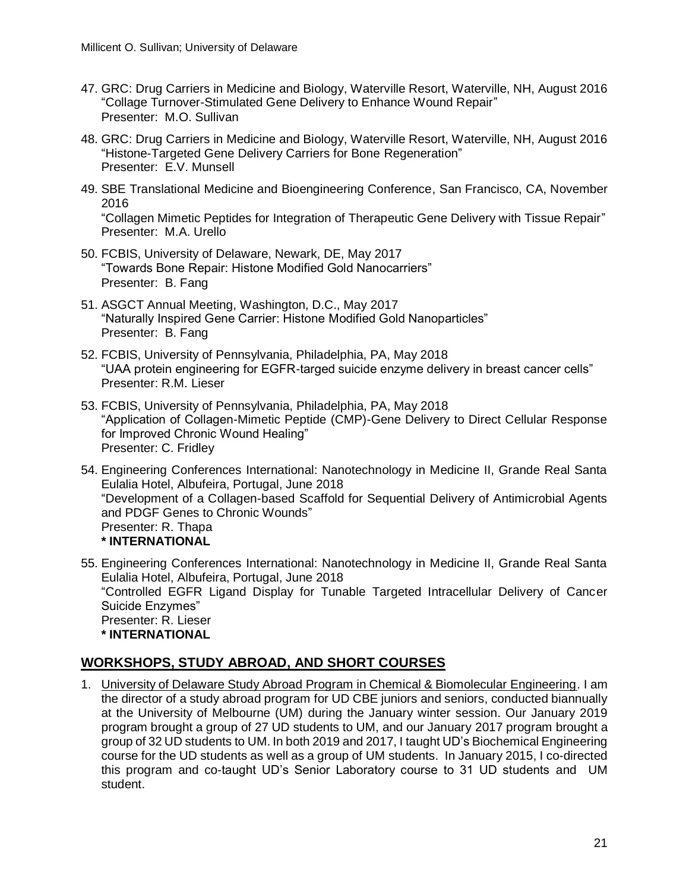- 47. GRC: Drug Carriers in Medicine and Biology, Waterville Resort, Waterville, NH, August 2016 "Collage Turnover-Stimulated Gene Delivery to Enhance Wound Repair" Presenter: M.O. Sullivan
- 48. GRC: Drug Carriers in Medicine and Biology, Waterville Resort, Waterville, NH, August 2016 "Histone-Targeted Gene Delivery Carriers for Bone Regeneration" Presenter: E.V. Munsell
- 49. SBE Translational Medicine and Bioengineering Conference, San Francisco, CA, November 2016

"Collagen Mimetic Peptides for Integration of Therapeutic Gene Delivery with Tissue Repair" Presenter: M.A. Urello

- 50. FCBIS, University of Delaware, Newark, DE, May 2017 "Towards Bone Repair: Histone Modified Gold Nanocarriers" Presenter: B. Fang
- 51. ASGCT Annual Meeting, Washington, D.C., May 2017 "Naturally Inspired Gene Carrier: Histone Modified Gold Nanoparticles" Presenter: B. Fang
- 52. FCBIS, University of Pennsylvania, Philadelphia, PA, May 2018 "UAA protein engineering for EGFR-targed suicide enzyme delivery in breast cancer cells" Presenter: R.M. Lieser
- 53. FCBIS, University of Pennsylvania, Philadelphia, PA, May 2018 "Application of Collagen-Mimetic Peptide (CMP)-Gene Delivery to Direct Cellular Response for Improved Chronic Wound Healing" Presenter: C. Fridley
- 54. Engineering Conferences International: Nanotechnology in Medicine II, Grande Real Santa Eulalia Hotel, Albufeira, Portugal, June 2018 "Development of a Collagen-based Scaffold for Sequential Delivery of Antimicrobial Agents and PDGF Genes to Chronic Wounds" Presenter: R. Thapa **\* INTERNATIONAL**
- 55. Engineering Conferences International: Nanotechnology in Medicine II, Grande Real Santa Eulalia Hotel, Albufeira, Portugal, June 2018 "Controlled EGFR Ligand Display for Tunable Targeted Intracellular Delivery of Cancer Suicide Enzymes" Presenter: R. Lieser **\* INTERNATIONAL**

# **WORKSHOPS, STUDY ABROAD, AND SHORT COURSES**

1. University of Delaware Study Abroad Program in Chemical & Biomolecular Engineering. I am the director of a study abroad program for UD CBE juniors and seniors, conducted biannually at the University of Melbourne (UM) during the January winter session. Our January 2019 program brought a group of 27 UD students to UM, and our January 2017 program brought a group of 32 UD students to UM. In both 2019 and 2017, I taught UD's Biochemical Engineering course for the UD students as well as a group of UM students. In January 2015, I co-directed this program and co-taught UD's Senior Laboratory course to 31 UD students and UM student.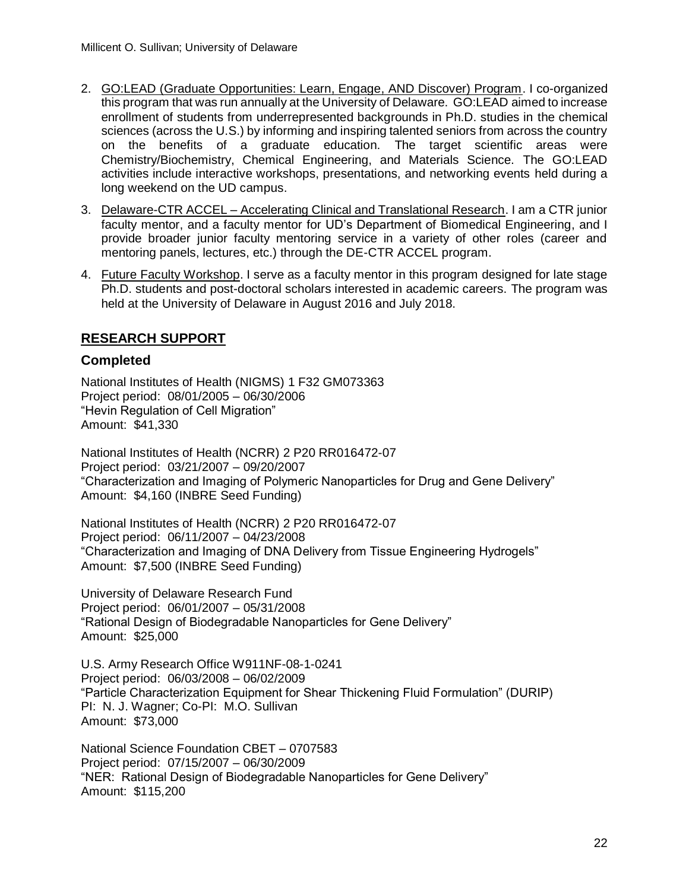- 2. GO:LEAD (Graduate Opportunities: Learn, Engage, AND Discover) Program. I co-organized this program that was run annually at the University of Delaware. GO:LEAD aimed to increase enrollment of students from underrepresented backgrounds in Ph.D. studies in the chemical sciences (across the U.S.) by informing and inspiring talented seniors from across the country on the benefits of a graduate education. The target scientific areas were Chemistry/Biochemistry, Chemical Engineering, and Materials Science. The GO:LEAD activities include interactive workshops, presentations, and networking events held during a long weekend on the UD campus.
- 3. Delaware-CTR ACCEL Accelerating Clinical and Translational Research. I am a CTR junior faculty mentor, and a faculty mentor for UD's Department of Biomedical Engineering, and I provide broader junior faculty mentoring service in a variety of other roles (career and mentoring panels, lectures, etc.) through the DE-CTR ACCEL program.
- 4. Future Faculty Workshop. I serve as a faculty mentor in this program designed for late stage Ph.D. students and post-doctoral scholars interested in academic careers. The program was held at the University of Delaware in August 2016 and July 2018.

# **RESEARCH SUPPORT**

# **Completed**

National Institutes of Health (NIGMS) 1 F32 GM073363 Project period: 08/01/2005 – 06/30/2006 "Hevin Regulation of Cell Migration" Amount: \$41,330

National Institutes of Health (NCRR) 2 P20 RR016472-07 Project period: 03/21/2007 – 09/20/2007 "Characterization and Imaging of Polymeric Nanoparticles for Drug and Gene Delivery" Amount: \$4,160 (INBRE Seed Funding)

National Institutes of Health (NCRR) 2 P20 RR016472-07 Project period: 06/11/2007 – 04/23/2008 "Characterization and Imaging of DNA Delivery from Tissue Engineering Hydrogels" Amount: \$7,500 (INBRE Seed Funding)

University of Delaware Research Fund Project period: 06/01/2007 – 05/31/2008 "Rational Design of Biodegradable Nanoparticles for Gene Delivery" Amount: \$25,000

U.S. Army Research Office W911NF-08-1-0241 Project period: 06/03/2008 – 06/02/2009 "Particle Characterization Equipment for Shear Thickening Fluid Formulation" (DURIP) PI: N. J. Wagner; Co-PI: M.O. Sullivan Amount: \$73,000

National Science Foundation CBET – 0707583 Project period: 07/15/2007 – 06/30/2009 "NER: Rational Design of Biodegradable Nanoparticles for Gene Delivery" Amount: \$115,200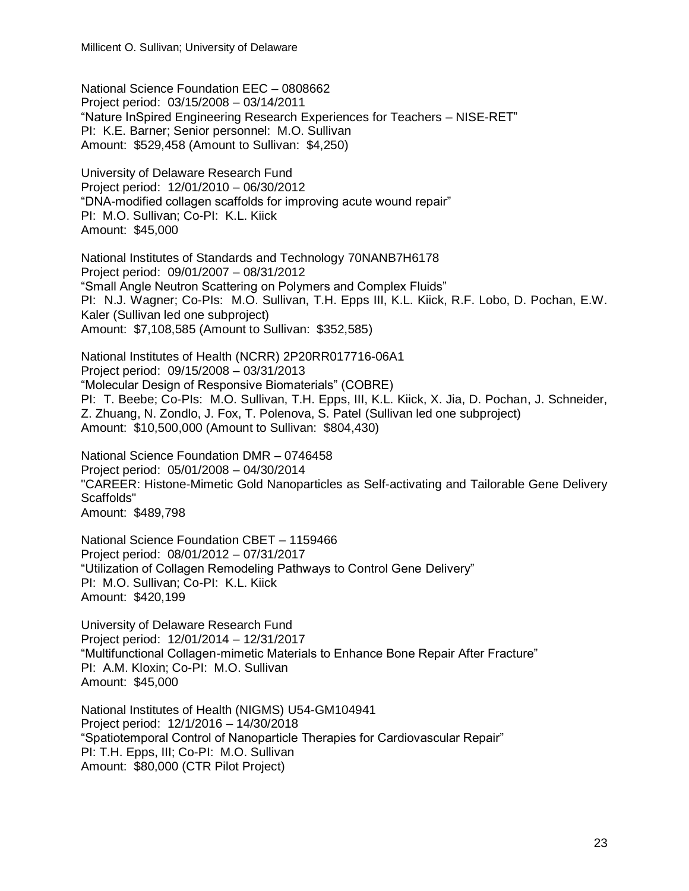National Science Foundation EEC – 0808662 Project period: 03/15/2008 – 03/14/2011 "Nature InSpired Engineering Research Experiences for Teachers – NISE-RET" PI: K.E. Barner; Senior personnel: M.O. Sullivan Amount: \$529,458 (Amount to Sullivan: \$4,250)

University of Delaware Research Fund Project period: 12/01/2010 – 06/30/2012 "DNA-modified collagen scaffolds for improving acute wound repair" PI: M.O. Sullivan; Co-PI: K.L. Kiick Amount: \$45,000

National Institutes of Standards and Technology 70NANB7H6178 Project period: 09/01/2007 – 08/31/2012 "Small Angle Neutron Scattering on Polymers and Complex Fluids" PI: N.J. Wagner; Co-PIs: M.O. Sullivan, T.H. Epps III, K.L. Kiick, R.F. Lobo, D. Pochan, E.W. Kaler (Sullivan led one subproject) Amount: \$7,108,585 (Amount to Sullivan: \$352,585)

National Institutes of Health (NCRR) 2P20RR017716-06A1 Project period: 09/15/2008 – 03/31/2013 "Molecular Design of Responsive Biomaterials" (COBRE) PI: T. Beebe; Co-PIs: M.O. Sullivan, T.H. Epps, III, K.L. Kiick, X. Jia, D. Pochan, J. Schneider, Z. Zhuang, N. Zondlo, J. Fox, T. Polenova, S. Patel (Sullivan led one subproject) Amount: \$10,500,000 (Amount to Sullivan: \$804,430)

National Science Foundation DMR – 0746458 Project period: 05/01/2008 – 04/30/2014 "CAREER: Histone-Mimetic Gold Nanoparticles as Self-activating and Tailorable Gene Delivery Scaffolds" Amount: \$489,798

National Science Foundation CBET – 1159466 Project period: 08/01/2012 – 07/31/2017 "Utilization of Collagen Remodeling Pathways to Control Gene Delivery" PI: M.O. Sullivan; Co-PI: K.L. Kiick Amount: \$420,199

University of Delaware Research Fund Project period: 12/01/2014 – 12/31/2017 "Multifunctional Collagen-mimetic Materials to Enhance Bone Repair After Fracture" PI: A.M. Kloxin; Co-PI: M.O. Sullivan Amount: \$45,000

National Institutes of Health (NIGMS) U54-GM104941 Project period: 12/1/2016 – 14/30/2018 "Spatiotemporal Control of Nanoparticle Therapies for Cardiovascular Repair" PI: T.H. Epps, III; Co-PI: M.O. Sullivan Amount: \$80,000 (CTR Pilot Project)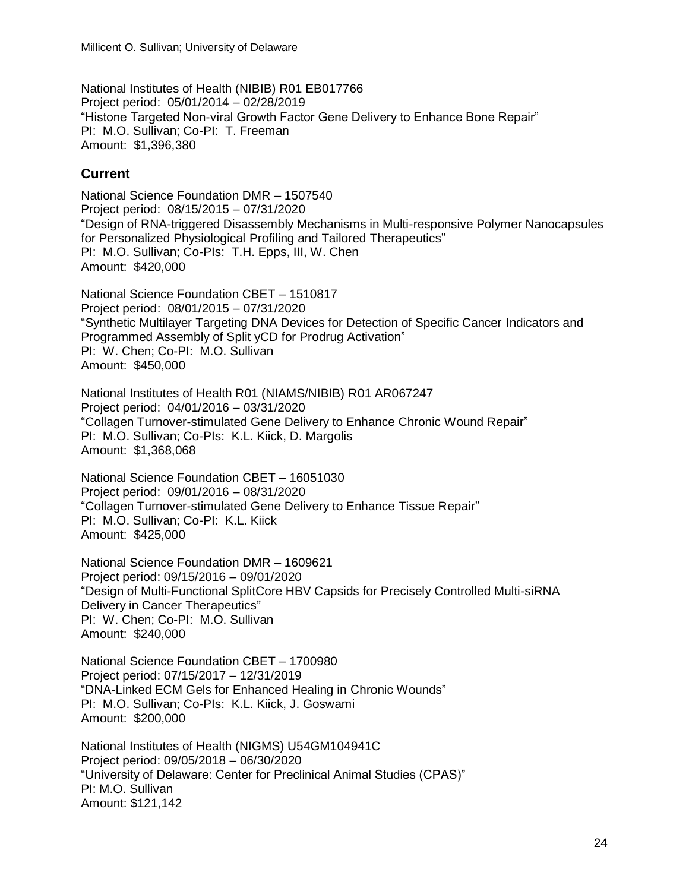National Institutes of Health (NIBIB) R01 EB017766 Project period: 05/01/2014 – 02/28/2019 "Histone Targeted Non-viral Growth Factor Gene Delivery to Enhance Bone Repair" PI: M.O. Sullivan; Co-PI: T. Freeman Amount: \$1,396,380

# **Current**

National Science Foundation DMR – 1507540 Project period: 08/15/2015 – 07/31/2020 "Design of RNA-triggered Disassembly Mechanisms in Multi-responsive Polymer Nanocapsules for Personalized Physiological Profiling and Tailored Therapeutics" PI: M.O. Sullivan; Co-PIs: T.H. Epps, III, W. Chen Amount: \$420,000

National Science Foundation CBET – 1510817 Project period: 08/01/2015 – 07/31/2020 "Synthetic Multilayer Targeting DNA Devices for Detection of Specific Cancer Indicators and Programmed Assembly of Split yCD for Prodrug Activation" PI: W. Chen; Co-PI: M.O. Sullivan Amount: \$450,000

National Institutes of Health R01 (NIAMS/NIBIB) R01 AR067247 Project period: 04/01/2016 – 03/31/2020 "Collagen Turnover-stimulated Gene Delivery to Enhance Chronic Wound Repair" PI: M.O. Sullivan; Co-PIs: K.L. Kiick, D. Margolis Amount: \$1,368,068

National Science Foundation CBET – 16051030 Project period: 09/01/2016 – 08/31/2020 "Collagen Turnover-stimulated Gene Delivery to Enhance Tissue Repair" PI: M.O. Sullivan; Co-PI: K.L. Kiick Amount: \$425,000

National Science Foundation DMR – 1609621 Project period: 09/15/2016 – 09/01/2020 "Design of Multi-Functional SplitCore HBV Capsids for Precisely Controlled Multi-siRNA Delivery in Cancer Therapeutics" PI: W. Chen; Co-PI: M.O. Sullivan Amount: \$240,000

National Science Foundation CBET – 1700980 Project period: 07/15/2017 – 12/31/2019 "DNA-Linked ECM Gels for Enhanced Healing in Chronic Wounds" PI: M.O. Sullivan; Co-PIs: K.L. Kiick, J. Goswami Amount: \$200,000

National Institutes of Health (NIGMS) U54GM104941C Project period: 09/05/2018 – 06/30/2020 "University of Delaware: Center for Preclinical Animal Studies (CPAS)" PI: M.O. Sullivan Amount: \$121,142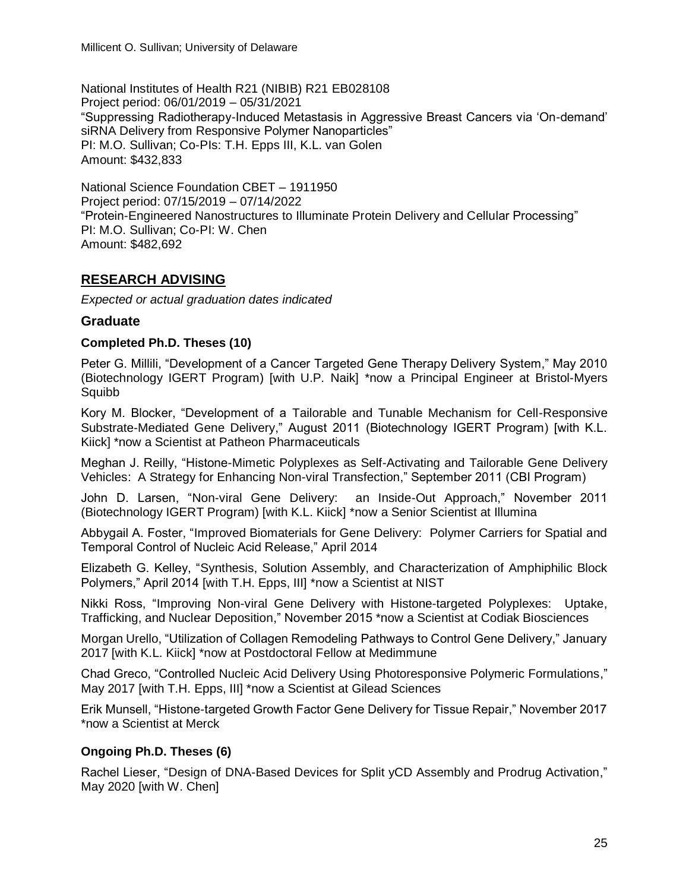National Institutes of Health R21 (NIBIB) R21 EB028108 Project period: 06/01/2019 – 05/31/2021 "Suppressing Radiotherapy-Induced Metastasis in Aggressive Breast Cancers via 'On-demand' siRNA Delivery from Responsive Polymer Nanoparticles" PI: M.O. Sullivan; Co-PIs: T.H. Epps III, K.L. van Golen Amount: \$432,833

National Science Foundation CBET – 1911950 Project period: 07/15/2019 – 07/14/2022 "Protein-Engineered Nanostructures to Illuminate Protein Delivery and Cellular Processing" PI: M.O. Sullivan; Co-PI: W. Chen Amount: \$482,692

# **RESEARCH ADVISING**

*Expected or actual graduation dates indicated*

# **Graduate**

#### **Completed Ph.D. Theses (10)**

Peter G. Millili, "Development of a Cancer Targeted Gene Therapy Delivery System," May 2010 (Biotechnology IGERT Program) [with U.P. Naik] \*now a Principal Engineer at Bristol-Myers Squibb

Kory M. Blocker, "Development of a Tailorable and Tunable Mechanism for Cell-Responsive Substrate-Mediated Gene Delivery," August 2011 (Biotechnology IGERT Program) [with K.L. Kiick] \*now a Scientist at Patheon Pharmaceuticals

Meghan J. Reilly, "Histone-Mimetic Polyplexes as Self-Activating and Tailorable Gene Delivery Vehicles: A Strategy for Enhancing Non-viral Transfection," September 2011 (CBI Program)

John D. Larsen, "Non-viral Gene Delivery: an Inside-Out Approach," November 2011 (Biotechnology IGERT Program) [with K.L. Kiick] \*now a Senior Scientist at Illumina

Abbygail A. Foster, "Improved Biomaterials for Gene Delivery: Polymer Carriers for Spatial and Temporal Control of Nucleic Acid Release," April 2014

Elizabeth G. Kelley, "Synthesis, Solution Assembly, and Characterization of Amphiphilic Block Polymers," April 2014 [with T.H. Epps, III] \*now a Scientist at NIST

Nikki Ross, "Improving Non-viral Gene Delivery with Histone-targeted Polyplexes: Uptake, Trafficking, and Nuclear Deposition," November 2015 \*now a Scientist at Codiak Biosciences

Morgan Urello, "Utilization of Collagen Remodeling Pathways to Control Gene Delivery," January 2017 [with K.L. Kiick] \*now at Postdoctoral Fellow at Medimmune

Chad Greco, "Controlled Nucleic Acid Delivery Using Photoresponsive Polymeric Formulations," May 2017 [with T.H. Epps, III] \*now a Scientist at Gilead Sciences

Erik Munsell, "Histone-targeted Growth Factor Gene Delivery for Tissue Repair," November 2017 \*now a Scientist at Merck

# **Ongoing Ph.D. Theses (6)**

Rachel Lieser, "Design of DNA-Based Devices for Split yCD Assembly and Prodrug Activation," May 2020 [with W. Chen]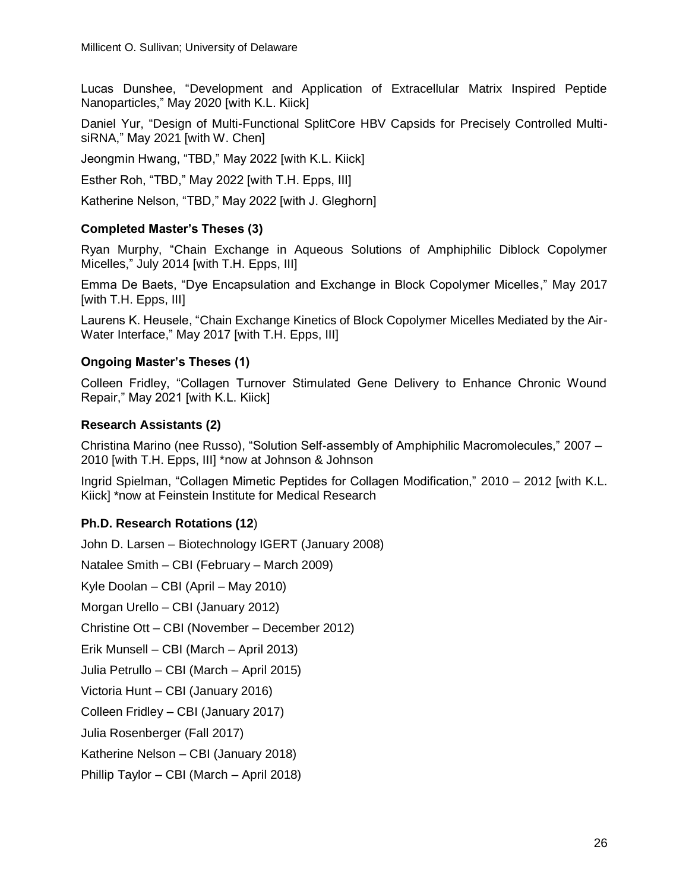Lucas Dunshee, "Development and Application of Extracellular Matrix Inspired Peptide Nanoparticles," May 2020 [with K.L. Kiick]

Daniel Yur, "Design of Multi-Functional SplitCore HBV Capsids for Precisely Controlled MultisiRNA," May 2021 [with W. Chen]

Jeongmin Hwang, "TBD," May 2022 [with K.L. Kiick]

Esther Roh, "TBD," May 2022 [with T.H. Epps, III]

Katherine Nelson, "TBD," May 2022 [with J. Gleghorn]

#### **Completed Master's Theses (3)**

Ryan Murphy, "Chain Exchange in Aqueous Solutions of Amphiphilic Diblock Copolymer Micelles," July 2014 [with T.H. Epps, III]

Emma De Baets, "Dye Encapsulation and Exchange in Block Copolymer Micelles," May 2017 [with T.H. Epps, III]

Laurens K. Heusele, "Chain Exchange Kinetics of Block Copolymer Micelles Mediated by the Air-Water Interface," May 2017 [with T.H. Epps, III]

#### **Ongoing Master's Theses (1)**

Colleen Fridley, "Collagen Turnover Stimulated Gene Delivery to Enhance Chronic Wound Repair," May 2021 [with K.L. Kiick]

#### **Research Assistants (2)**

Christina Marino (nee Russo), "Solution Self-assembly of Amphiphilic Macromolecules," 2007 – 2010 [with T.H. Epps, III] \*now at Johnson & Johnson

Ingrid Spielman, "Collagen Mimetic Peptides for Collagen Modification," 2010 – 2012 [with K.L. Kiick] \*now at Feinstein Institute for Medical Research

#### **Ph.D. Research Rotations (12**)

John D. Larsen – Biotechnology IGERT (January 2008) Natalee Smith – CBI (February – March 2009) Kyle Doolan – CBI (April – May 2010) Morgan Urello – CBI (January 2012) Christine Ott – CBI (November – December 2012) Erik Munsell – CBI (March – April 2013) Julia Petrullo – CBI (March – April 2015) Victoria Hunt – CBI (January 2016) Colleen Fridley – CBI (January 2017) Julia Rosenberger (Fall 2017) Katherine Nelson – CBI (January 2018) Phillip Taylor – CBI (March – April 2018)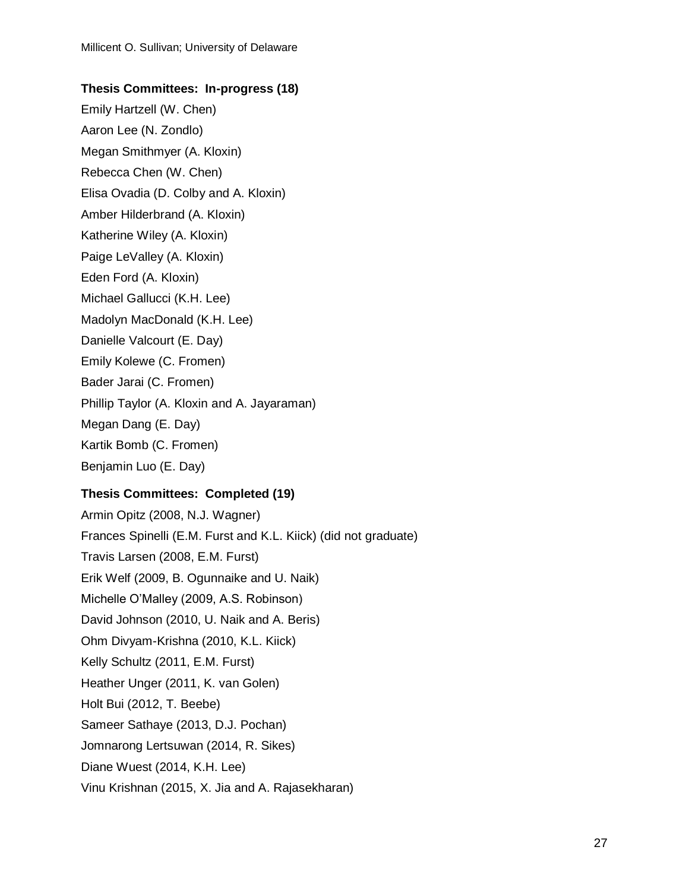# **Thesis Committees: In-progress (18)**

Emily Hartzell (W. Chen)

Aaron Lee (N. Zondlo)

Megan Smithmyer (A. Kloxin)

Rebecca Chen (W. Chen)

Elisa Ovadia (D. Colby and A. Kloxin)

Amber Hilderbrand (A. Kloxin)

Katherine Wiley (A. Kloxin)

Paige LeValley (A. Kloxin)

Eden Ford (A. Kloxin)

Michael Gallucci (K.H. Lee)

Madolyn MacDonald (K.H. Lee)

Danielle Valcourt (E. Day)

Emily Kolewe (C. Fromen)

Bader Jarai (C. Fromen)

Phillip Taylor (A. Kloxin and A. Jayaraman)

Megan Dang (E. Day)

Kartik Bomb (C. Fromen)

Benjamin Luo (E. Day)

# **Thesis Committees: Completed (19)**

Armin Opitz (2008, N.J. Wagner) Frances Spinelli (E.M. Furst and K.L. Kiick) (did not graduate) Travis Larsen (2008, E.M. Furst) Erik Welf (2009, B. Ogunnaike and U. Naik) Michelle O'Malley (2009, A.S. Robinson) David Johnson (2010, U. Naik and A. Beris) Ohm Divyam-Krishna (2010, K.L. Kiick) Kelly Schultz (2011, E.M. Furst) Heather Unger (2011, K. van Golen) Holt Bui (2012, T. Beebe) Sameer Sathaye (2013, D.J. Pochan) Jomnarong Lertsuwan (2014, R. Sikes) Diane Wuest (2014, K.H. Lee) Vinu Krishnan (2015, X. Jia and A. Rajasekharan)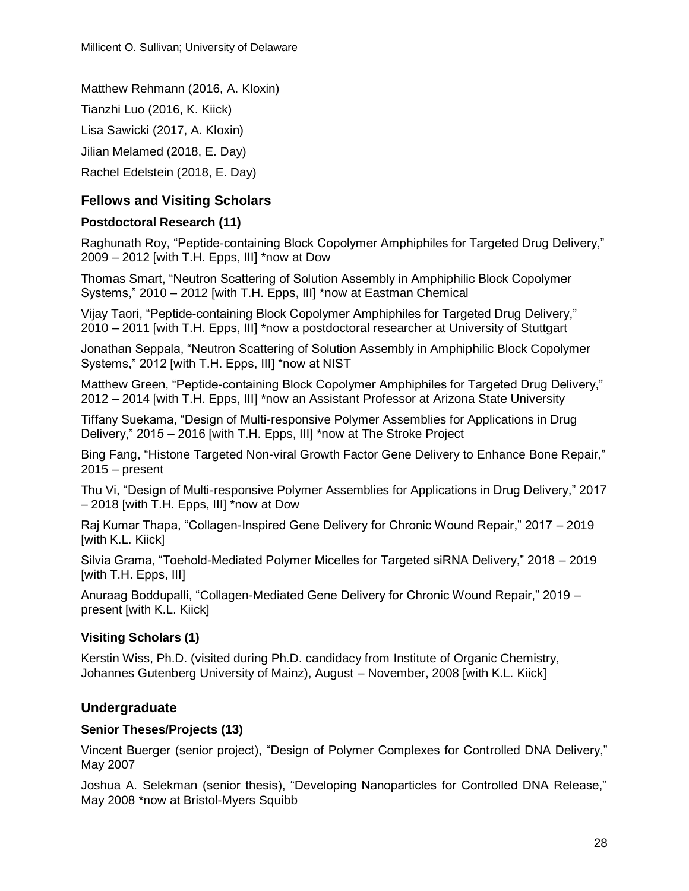Matthew Rehmann (2016, A. Kloxin)

Tianzhi Luo (2016, K. Kiick)

Lisa Sawicki (2017, A. Kloxin)

Jilian Melamed (2018, E. Day)

Rachel Edelstein (2018, E. Day)

# **Fellows and Visiting Scholars**

#### **Postdoctoral Research (11)**

Raghunath Roy, "Peptide-containing Block Copolymer Amphiphiles for Targeted Drug Delivery," 2009 – 2012 [with T.H. Epps, III] \*now at Dow

Thomas Smart, "Neutron Scattering of Solution Assembly in Amphiphilic Block Copolymer Systems," 2010 – 2012 [with T.H. Epps, III] \*now at Eastman Chemical

Vijay Taori, "Peptide-containing Block Copolymer Amphiphiles for Targeted Drug Delivery," 2010 – 2011 [with T.H. Epps, III] \*now a postdoctoral researcher at University of Stuttgart

Jonathan Seppala, "Neutron Scattering of Solution Assembly in Amphiphilic Block Copolymer Systems," 2012 [with T.H. Epps, III] \*now at NIST

Matthew Green, "Peptide-containing Block Copolymer Amphiphiles for Targeted Drug Delivery," 2012 – 2014 [with T.H. Epps, III] \*now an Assistant Professor at Arizona State University

Tiffany Suekama, "Design of Multi-responsive Polymer Assemblies for Applications in Drug Delivery," 2015 – 2016 [with T.H. Epps, III] \*now at The Stroke Project

Bing Fang, "Histone Targeted Non-viral Growth Factor Gene Delivery to Enhance Bone Repair,"  $2015 -$  present

Thu Vi, "Design of Multi-responsive Polymer Assemblies for Applications in Drug Delivery," 2017 – 2018 [with T.H. Epps, III] \*now at Dow

Raj Kumar Thapa, "Collagen-Inspired Gene Delivery for Chronic Wound Repair," 2017 – 2019 [with K.L. Kiick]

Silvia Grama, "Toehold-Mediated Polymer Micelles for Targeted siRNA Delivery," 2018 – 2019 [with T.H. Epps, III]

Anuraag Boddupalli, "Collagen-Mediated Gene Delivery for Chronic Wound Repair," 2019 – present [with K.L. Kiick]

# **Visiting Scholars (1)**

Kerstin Wiss, Ph.D. (visited during Ph.D. candidacy from Institute of Organic Chemistry, Johannes Gutenberg University of Mainz), August – November, 2008 [with K.L. Kiick]

# **Undergraduate**

#### **Senior Theses/Projects (13)**

Vincent Buerger (senior project), "Design of Polymer Complexes for Controlled DNA Delivery," May 2007

Joshua A. Selekman (senior thesis), "Developing Nanoparticles for Controlled DNA Release," May 2008 \*now at Bristol-Myers Squibb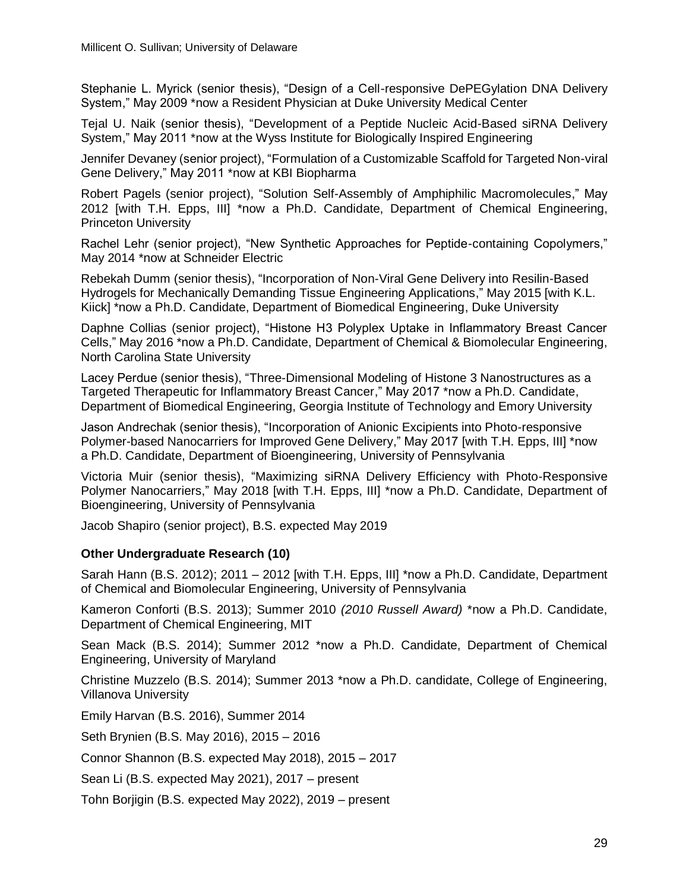Stephanie L. Myrick (senior thesis), "Design of a Cell-responsive DePEGylation DNA Delivery System," May 2009 \*now a Resident Physician at Duke University Medical Center

Tejal U. Naik (senior thesis), "Development of a Peptide Nucleic Acid-Based siRNA Delivery System," May 2011 \*now at the Wyss Institute for Biologically Inspired Engineering

Jennifer Devaney (senior project), "Formulation of a Customizable Scaffold for Targeted Non-viral Gene Delivery," May 2011 \*now at KBI Biopharma

Robert Pagels (senior project), "Solution Self-Assembly of Amphiphilic Macromolecules," May 2012 [with T.H. Epps, III] \*now a Ph.D. Candidate, Department of Chemical Engineering, Princeton University

Rachel Lehr (senior project), "New Synthetic Approaches for Peptide-containing Copolymers," May 2014 \*now at Schneider Electric

Rebekah Dumm (senior thesis), "Incorporation of Non-Viral Gene Delivery into Resilin-Based Hydrogels for Mechanically Demanding Tissue Engineering Applications," May 2015 [with K.L. Kiick] \*now a Ph.D. Candidate, Department of Biomedical Engineering, Duke University

Daphne Collias (senior project), "Histone H3 Polyplex Uptake in Inflammatory Breast Cancer Cells," May 2016 \*now a Ph.D. Candidate, Department of Chemical & Biomolecular Engineering, North Carolina State University

Lacey Perdue (senior thesis), "Three-Dimensional Modeling of Histone 3 Nanostructures as a Targeted Therapeutic for Inflammatory Breast Cancer," May 2017 \*now a Ph.D. Candidate, Department of Biomedical Engineering, Georgia Institute of Technology and Emory University

Jason Andrechak (senior thesis), "Incorporation of Anionic Excipients into Photo-responsive Polymer-based Nanocarriers for Improved Gene Delivery," May 2017 [with T.H. Epps, III] \*now a Ph.D. Candidate, Department of Bioengineering, University of Pennsylvania

Victoria Muir (senior thesis), "Maximizing siRNA Delivery Efficiency with Photo-Responsive Polymer Nanocarriers," May 2018 [with T.H. Epps, III] \*now a Ph.D. Candidate, Department of Bioengineering, University of Pennsylvania

Jacob Shapiro (senior project), B.S. expected May 2019

#### **Other Undergraduate Research (10)**

Sarah Hann (B.S. 2012); 2011 – 2012 [with T.H. Epps, III] \*now a Ph.D. Candidate, Department of Chemical and Biomolecular Engineering, University of Pennsylvania

Kameron Conforti (B.S. 2013); Summer 2010 *(2010 Russell Award)* \*now a Ph.D. Candidate, Department of Chemical Engineering, MIT

Sean Mack (B.S. 2014); Summer 2012 \*now a Ph.D. Candidate, Department of Chemical Engineering, University of Maryland

Christine Muzzelo (B.S. 2014); Summer 2013 \*now a Ph.D. candidate, College of Engineering, Villanova University

Emily Harvan (B.S. 2016), Summer 2014

Seth Brynien (B.S. May 2016), 2015 – 2016

Connor Shannon (B.S. expected May 2018), 2015 – 2017

Sean Li (B.S. expected May 2021), 2017 – present

Tohn Borjigin (B.S. expected May 2022), 2019 – present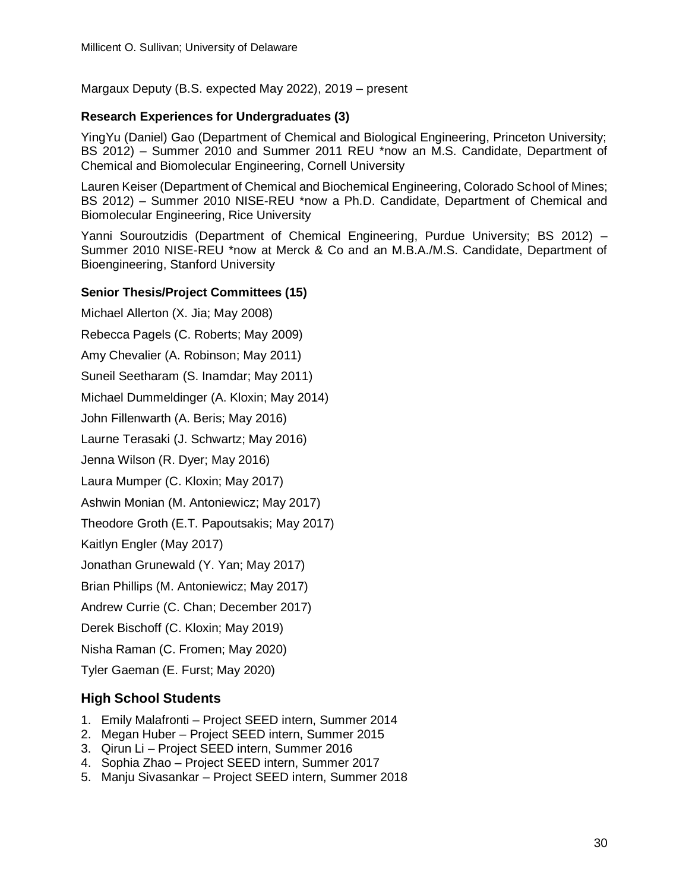Margaux Deputy (B.S. expected May 2022), 2019 – present

#### **Research Experiences for Undergraduates (3)**

YingYu (Daniel) Gao (Department of Chemical and Biological Engineering, Princeton University; BS 2012) – Summer 2010 and Summer 2011 REU \*now an M.S. Candidate, Department of Chemical and Biomolecular Engineering, Cornell University

Lauren Keiser (Department of Chemical and Biochemical Engineering, Colorado School of Mines; BS 2012) – Summer 2010 NISE-REU \*now a Ph.D. Candidate, Department of Chemical and Biomolecular Engineering, Rice University

Yanni Souroutzidis (Department of Chemical Engineering, Purdue University; BS 2012) – Summer 2010 NISE-REU \*now at Merck & Co and an M.B.A./M.S. Candidate, Department of Bioengineering, Stanford University

#### **Senior Thesis/Project Committees (15)**

Michael Allerton (X. Jia; May 2008)

Rebecca Pagels (C. Roberts; May 2009)

Amy Chevalier (A. Robinson; May 2011)

Suneil Seetharam (S. Inamdar; May 2011)

Michael Dummeldinger (A. Kloxin; May 2014)

John Fillenwarth (A. Beris; May 2016)

Laurne Terasaki (J. Schwartz; May 2016)

Jenna Wilson (R. Dyer; May 2016)

Laura Mumper (C. Kloxin; May 2017)

Ashwin Monian (M. Antoniewicz; May 2017)

Theodore Groth (E.T. Papoutsakis; May 2017)

Kaitlyn Engler (May 2017)

Jonathan Grunewald (Y. Yan; May 2017)

Brian Phillips (M. Antoniewicz; May 2017)

Andrew Currie (C. Chan; December 2017)

Derek Bischoff (C. Kloxin; May 2019)

Nisha Raman (C. Fromen; May 2020)

Tyler Gaeman (E. Furst; May 2020)

# **High School Students**

- 1. Emily Malafronti Project SEED intern, Summer 2014
- 2. Megan Huber Project SEED intern, Summer 2015
- 3. Qirun Li Project SEED intern, Summer 2016
- 4. Sophia Zhao Project SEED intern, Summer 2017
- 5. Manju Sivasankar Project SEED intern, Summer 2018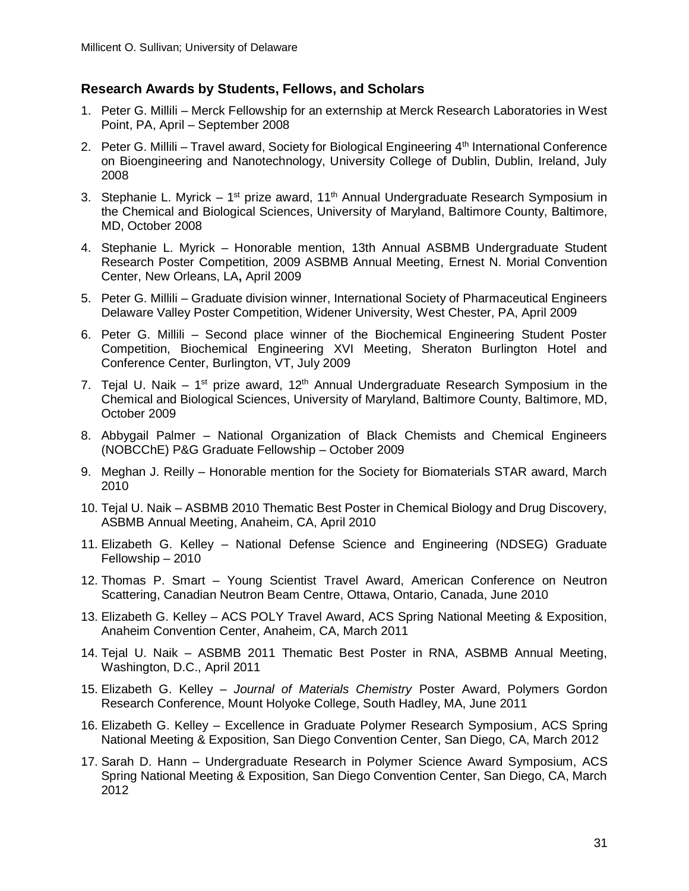#### **Research Awards by Students, Fellows, and Scholars**

- 1. Peter G. Millili Merck Fellowship for an externship at Merck Research Laboratories in West Point, PA, April – September 2008
- 2. Peter G. Millili Travel award, Society for Biological Engineering  $4<sup>th</sup>$  International Conference on Bioengineering and Nanotechnology, University College of Dublin, Dublin, Ireland, July 2008
- 3. Stephanie L. Myrick 1<sup>st</sup> prize award, 11<sup>th</sup> Annual Undergraduate Research Symposium in the Chemical and Biological Sciences, University of Maryland, Baltimore County, Baltimore, MD, October 2008
- 4. Stephanie L. Myrick Honorable mention, 13th Annual ASBMB Undergraduate Student Research Poster Competition, 2009 ASBMB Annual Meeting, Ernest N. Morial Convention Center, New Orleans, LA**,** April 2009
- 5. Peter G. Millili Graduate division winner, International Society of Pharmaceutical Engineers Delaware Valley Poster Competition, Widener University, West Chester, PA, April 2009
- 6. Peter G. Millili Second place winner of the Biochemical Engineering Student Poster Competition, Biochemical Engineering XVI Meeting, Sheraton Burlington Hotel and Conference Center, Burlington, VT, July 2009
- 7. Tejal U. Naik 1<sup>st</sup> prize award, 12<sup>th</sup> Annual Undergraduate Research Symposium in the Chemical and Biological Sciences, University of Maryland, Baltimore County, Baltimore, MD, October 2009
- 8. Abbygail Palmer National Organization of Black Chemists and Chemical Engineers (NOBCChE) P&G Graduate Fellowship – October 2009
- 9. Meghan J. Reilly Honorable mention for the Society for Biomaterials STAR award, March 2010
- 10. Tejal U. Naik ASBMB 2010 Thematic Best Poster in Chemical Biology and Drug Discovery, ASBMB Annual Meeting, Anaheim, CA, April 2010
- 11. Elizabeth G. Kelley National Defense Science and Engineering (NDSEG) Graduate Fellowship – 2010
- 12. Thomas P. Smart Young Scientist Travel Award, American Conference on Neutron Scattering, Canadian Neutron Beam Centre, Ottawa, Ontario, Canada, June 2010
- 13. Elizabeth G. Kelley ACS POLY Travel Award, ACS Spring National Meeting & Exposition, Anaheim Convention Center, Anaheim, CA, March 2011
- 14. Tejal U. Naik ASBMB 2011 Thematic Best Poster in RNA, ASBMB Annual Meeting, Washington, D.C., April 2011
- 15. Elizabeth G. Kelley *Journal of Materials Chemistry* Poster Award, Polymers Gordon Research Conference, Mount Holyoke College, South Hadley, MA, June 2011
- 16. Elizabeth G. Kelley Excellence in Graduate Polymer Research Symposium, ACS Spring National Meeting & Exposition, San Diego Convention Center, San Diego, CA, March 2012
- 17. Sarah D. Hann Undergraduate Research in Polymer Science Award Symposium, ACS Spring National Meeting & Exposition, San Diego Convention Center, San Diego, CA, March 2012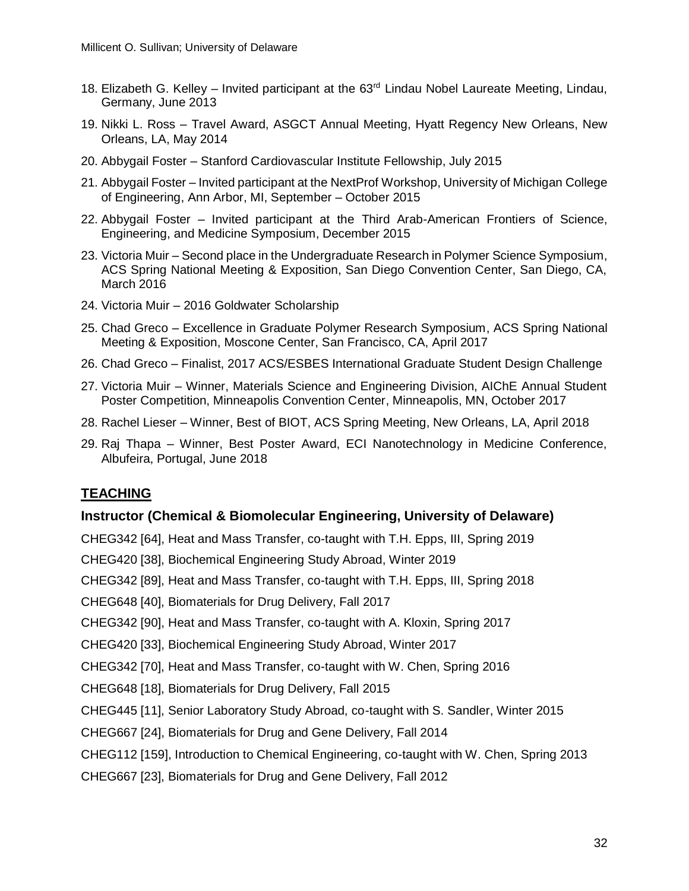- 18. Elizabeth G. Kelley Invited participant at the 63<sup>rd</sup> Lindau Nobel Laureate Meeting, Lindau, Germany, June 2013
- 19. Nikki L. Ross Travel Award, ASGCT Annual Meeting, Hyatt Regency New Orleans, New Orleans, LA, May 2014
- 20. Abbygail Foster Stanford Cardiovascular Institute Fellowship, July 2015
- 21. Abbygail Foster Invited participant at the NextProf Workshop, University of Michigan College of Engineering, Ann Arbor, MI, September – October 2015
- 22. Abbygail Foster Invited participant at the Third Arab-American Frontiers of Science, Engineering, and Medicine Symposium, December 2015
- 23. Victoria Muir Second place in the Undergraduate Research in Polymer Science Symposium, ACS Spring National Meeting & Exposition, San Diego Convention Center, San Diego, CA, March 2016
- 24. Victoria Muir 2016 Goldwater Scholarship
- 25. Chad Greco Excellence in Graduate Polymer Research Symposium, ACS Spring National Meeting & Exposition, Moscone Center, San Francisco, CA, April 2017
- 26. Chad Greco Finalist, 2017 ACS/ESBES International Graduate Student Design Challenge
- 27. Victoria Muir Winner, Materials Science and Engineering Division, AIChE Annual Student Poster Competition, Minneapolis Convention Center, Minneapolis, MN, October 2017
- 28. Rachel Lieser Winner, Best of BIOT, ACS Spring Meeting, New Orleans, LA, April 2018
- 29. Raj Thapa Winner, Best Poster Award, ECI Nanotechnology in Medicine Conference, Albufeira, Portugal, June 2018

# **TEACHING**

#### **Instructor (Chemical & Biomolecular Engineering, University of Delaware)**

CHEG342 [64], Heat and Mass Transfer, co-taught with T.H. Epps, III, Spring 2019

CHEG420 [38], Biochemical Engineering Study Abroad, Winter 2019

CHEG342 [89], Heat and Mass Transfer, co-taught with T.H. Epps, III, Spring 2018

CHEG648 [40], Biomaterials for Drug Delivery, Fall 2017

CHEG342 [90], Heat and Mass Transfer, co-taught with A. Kloxin, Spring 2017

CHEG420 [33], Biochemical Engineering Study Abroad, Winter 2017

CHEG342 [70], Heat and Mass Transfer, co-taught with W. Chen, Spring 2016

CHEG648 [18], Biomaterials for Drug Delivery, Fall 2015

CHEG445 [11], Senior Laboratory Study Abroad, co-taught with S. Sandler, Winter 2015

CHEG667 [24], Biomaterials for Drug and Gene Delivery, Fall 2014

CHEG112 [159], Introduction to Chemical Engineering, co-taught with W. Chen, Spring 2013

CHEG667 [23], Biomaterials for Drug and Gene Delivery, Fall 2012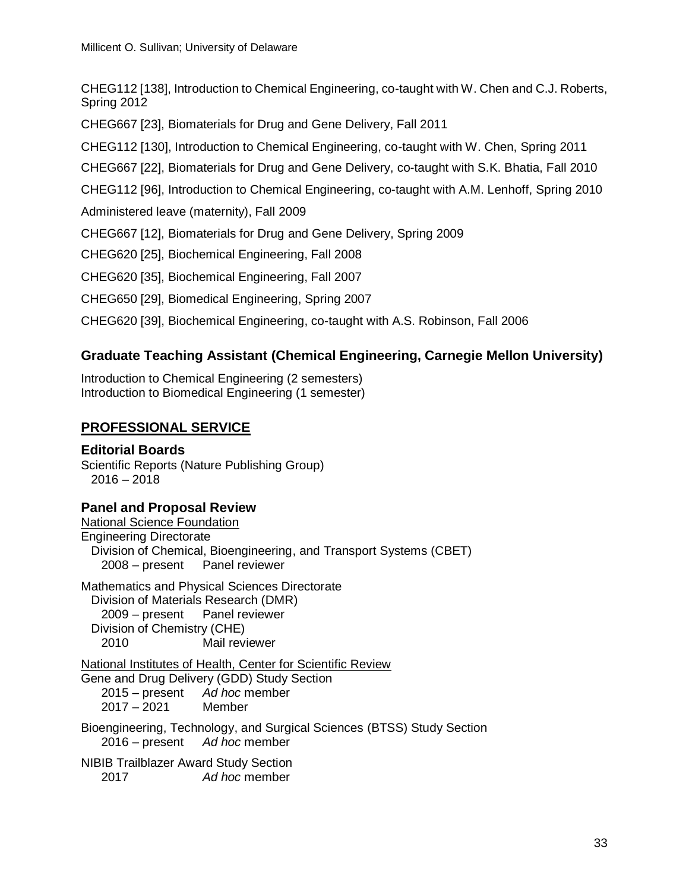CHEG112 [138], Introduction to Chemical Engineering, co-taught with W. Chen and C.J. Roberts, Spring 2012

CHEG667 [23], Biomaterials for Drug and Gene Delivery, Fall 2011

CHEG112 [130], Introduction to Chemical Engineering, co-taught with W. Chen, Spring 2011

CHEG667 [22], Biomaterials for Drug and Gene Delivery, co-taught with S.K. Bhatia, Fall 2010

CHEG112 [96], Introduction to Chemical Engineering, co-taught with A.M. Lenhoff, Spring 2010

Administered leave (maternity), Fall 2009

CHEG667 [12], Biomaterials for Drug and Gene Delivery, Spring 2009

CHEG620 [25], Biochemical Engineering, Fall 2008

CHEG620 [35], Biochemical Engineering, Fall 2007

CHEG650 [29], Biomedical Engineering, Spring 2007

CHEG620 [39], Biochemical Engineering, co-taught with A.S. Robinson, Fall 2006

# **Graduate Teaching Assistant (Chemical Engineering, Carnegie Mellon University)**

Introduction to Chemical Engineering (2 semesters) Introduction to Biomedical Engineering (1 semester)

# **PROFESSIONAL SERVICE**

# **Editorial Boards**

Scientific Reports (Nature Publishing Group) 2016 – 2018

# **Panel and Proposal Review**

National Science Foundation Engineering Directorate Division of Chemical, Bioengineering, and Transport Systems (CBET) 2008 – present Panel reviewer Mathematics and Physical Sciences Directorate Division of Materials Research (DMR) 2009 – present Panel reviewer Division of Chemistry (CHE) 2010 Mail reviewer National Institutes of Health, Center for Scientific Review Gene and Drug Delivery (GDD) Study Section 2015 – present *Ad hoc* member 2017 – 2021 Member Bioengineering, Technology, and Surgical Sciences (BTSS) Study Section 2016 – present *Ad hoc* member NIBIB Trailblazer Award Study Section

2017 *Ad hoc* member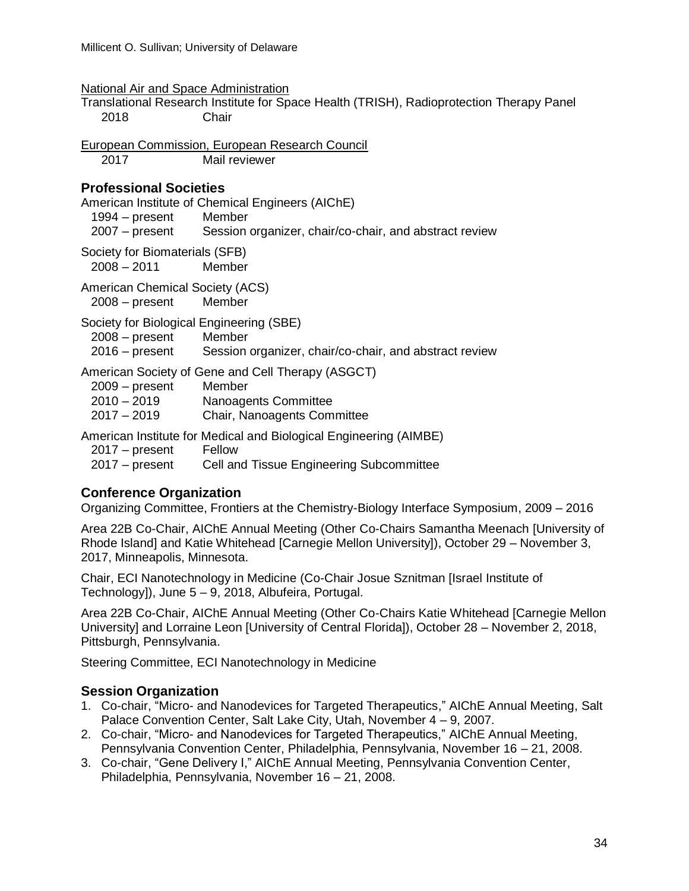| National Air and Space Administration |  |
|---------------------------------------|--|
|                                       |  |

Translational Research Institute for Space Health (TRISH), Radioprotection Therapy Panel 2018 Chair

European Commission, European Research Council 2017 Mail reviewer

#### **Professional Societies**

American Institute of Chemical Engineers (AIChE)

1994 – present Member<br>2007 – present Session

Session organizer, chair/co-chair, and abstract review

Society for Biomaterials (SFB)

2008 – 2011 Member

American Chemical Society (ACS)

2008 – present Member

Society for Biological Engineering (SBE)

| $2008 -$ present | Member                                                 |
|------------------|--------------------------------------------------------|
| $2016$ – present | Session organizer, chair/co-chair, and abstract review |

American Society of Gene and Cell Therapy (ASGCT)

| $2009 - present$ | Member                      |
|------------------|-----------------------------|
| $2010 - 2019$    | Nanoagents Committee        |
| $2017 - 2019$    | Chair, Nanoagents Committee |

American Institute for Medical and Biological Engineering (AIMBE)

2017 – present Fellow

2017 – present Cell and Tissue Engineering Subcommittee

# **Conference Organization**

Organizing Committee, Frontiers at the Chemistry-Biology Interface Symposium, 2009 – 2016

Area 22B Co-Chair, AIChE Annual Meeting (Other Co-Chairs Samantha Meenach [University of Rhode Island] and Katie Whitehead [Carnegie Mellon University]), October 29 – November 3, 2017, Minneapolis, Minnesota.

Chair, ECI Nanotechnology in Medicine (Co-Chair Josue Sznitman [Israel Institute of Technology]), June 5 – 9, 2018, Albufeira, Portugal.

Area 22B Co-Chair, AIChE Annual Meeting (Other Co-Chairs Katie Whitehead [Carnegie Mellon University] and Lorraine Leon [University of Central Florida]), October 28 – November 2, 2018, Pittsburgh, Pennsylvania.

Steering Committee, ECI Nanotechnology in Medicine

# **Session Organization**

- 1. Co-chair, "Micro- and Nanodevices for Targeted Therapeutics," AIChE Annual Meeting, Salt Palace Convention Center, Salt Lake City, Utah, November 4 – 9, 2007.
- 2. Co-chair, "Micro- and Nanodevices for Targeted Therapeutics," AIChE Annual Meeting, Pennsylvania Convention Center, Philadelphia, Pennsylvania, November 16 – 21, 2008.
- 3. Co-chair, "Gene Delivery I," AIChE Annual Meeting, Pennsylvania Convention Center, Philadelphia, Pennsylvania, November 16 – 21, 2008.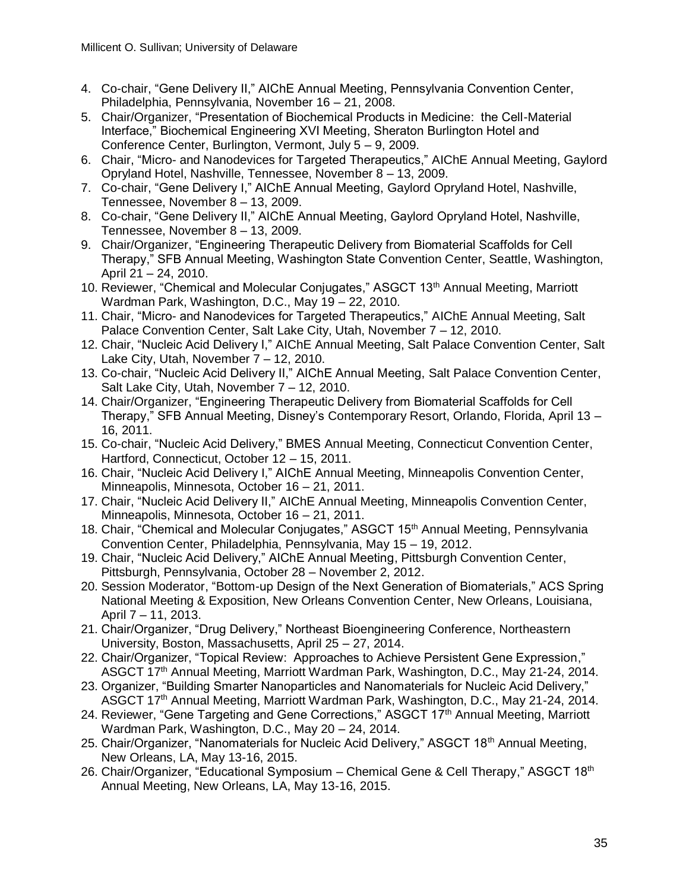- 4. Co-chair, "Gene Delivery II," AIChE Annual Meeting, Pennsylvania Convention Center, Philadelphia, Pennsylvania, November 16 – 21, 2008.
- 5. Chair/Organizer, "Presentation of Biochemical Products in Medicine: the Cell-Material Interface," Biochemical Engineering XVI Meeting, Sheraton Burlington Hotel and Conference Center, Burlington, Vermont, July 5 – 9, 2009.
- 6. Chair, "Micro- and Nanodevices for Targeted Therapeutics," AIChE Annual Meeting, Gaylord Opryland Hotel, Nashville, Tennessee, November 8 – 13, 2009.
- 7. Co-chair, "Gene Delivery I," AIChE Annual Meeting, Gaylord Opryland Hotel, Nashville, Tennessee, November 8 – 13, 2009.
- 8. Co-chair, "Gene Delivery II," AIChE Annual Meeting, Gaylord Opryland Hotel, Nashville, Tennessee, November 8 – 13, 2009.
- 9. Chair/Organizer, "Engineering Therapeutic Delivery from Biomaterial Scaffolds for Cell Therapy," SFB Annual Meeting, Washington State Convention Center, Seattle, Washington, April 21 – 24, 2010.
- 10. Reviewer, "Chemical and Molecular Conjugates," ASGCT 13<sup>th</sup> Annual Meeting, Marriott Wardman Park, Washington, D.C., May 19 – 22, 2010.
- 11. Chair, "Micro- and Nanodevices for Targeted Therapeutics," AIChE Annual Meeting, Salt Palace Convention Center, Salt Lake City, Utah, November 7 – 12, 2010.
- 12. Chair, "Nucleic Acid Delivery I," AIChE Annual Meeting, Salt Palace Convention Center, Salt Lake City, Utah, November 7 – 12, 2010.
- 13. Co-chair, "Nucleic Acid Delivery II," AIChE Annual Meeting, Salt Palace Convention Center, Salt Lake City, Utah, November 7 – 12, 2010.
- 14. Chair/Organizer, "Engineering Therapeutic Delivery from Biomaterial Scaffolds for Cell Therapy," SFB Annual Meeting, Disney's Contemporary Resort, Orlando, Florida, April 13 – 16, 2011.
- 15. Co-chair, "Nucleic Acid Delivery," BMES Annual Meeting, Connecticut Convention Center, Hartford, Connecticut, October 12 – 15, 2011.
- 16. Chair, "Nucleic Acid Delivery I," AIChE Annual Meeting, Minneapolis Convention Center, Minneapolis, Minnesota, October 16 – 21, 2011.
- 17. Chair, "Nucleic Acid Delivery II," AIChE Annual Meeting, Minneapolis Convention Center, Minneapolis, Minnesota, October 16 – 21, 2011.
- 18. Chair, "Chemical and Molecular Conjugates," ASGCT 15<sup>th</sup> Annual Meeting, Pennsylvania Convention Center, Philadelphia, Pennsylvania, May 15 – 19, 2012.
- 19. Chair, "Nucleic Acid Delivery," AIChE Annual Meeting, Pittsburgh Convention Center, Pittsburgh, Pennsylvania, October 28 – November 2, 2012.
- 20. Session Moderator, "Bottom-up Design of the Next Generation of Biomaterials," ACS Spring National Meeting & Exposition, New Orleans Convention Center, New Orleans, Louisiana, April 7 – 11, 2013.
- 21. Chair/Organizer, "Drug Delivery," Northeast Bioengineering Conference, Northeastern University, Boston, Massachusetts, April 25 – 27, 2014.
- 22. Chair/Organizer, "Topical Review: Approaches to Achieve Persistent Gene Expression," ASGCT 17<sup>th</sup> Annual Meeting, Marriott Wardman Park, Washington, D.C., May 21-24, 2014.
- 23. Organizer, "Building Smarter Nanoparticles and Nanomaterials for Nucleic Acid Delivery," ASGCT 17th Annual Meeting, Marriott Wardman Park, Washington, D.C., May 21-24, 2014.
- 24. Reviewer, "Gene Targeting and Gene Corrections," ASGCT 17<sup>th</sup> Annual Meeting, Marriott Wardman Park, Washington, D.C., May 20 – 24, 2014.
- 25. Chair/Organizer, "Nanomaterials for Nucleic Acid Delivery," ASGCT 18<sup>th</sup> Annual Meeting, New Orleans, LA, May 13-16, 2015.
- 26. Chair/Organizer, "Educational Symposium Chemical Gene & Cell Therapy," ASGCT 18th Annual Meeting, New Orleans, LA, May 13-16, 2015.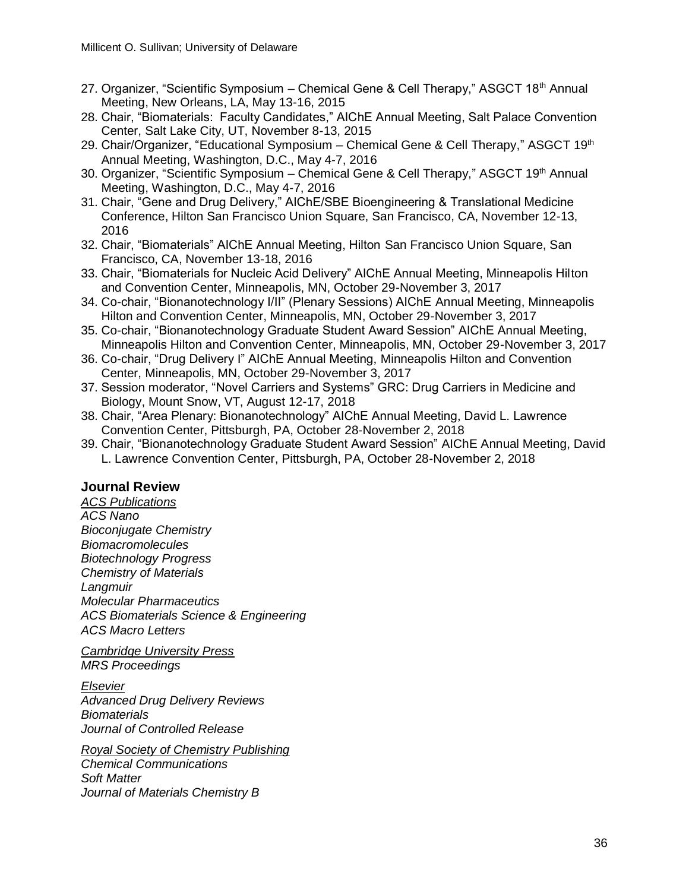- 27. Organizer, "Scientific Symposium Chemical Gene & Cell Therapy," ASGCT 18<sup>th</sup> Annual Meeting, New Orleans, LA, May 13-16, 2015
- 28. Chair, "Biomaterials: Faculty Candidates," AIChE Annual Meeting, Salt Palace Convention Center, Salt Lake City, UT, November 8-13, 2015
- 29. Chair/Organizer, "Educational Symposium Chemical Gene & Cell Therapv." ASGCT 19<sup>th</sup> Annual Meeting, Washington, D.C., May 4-7, 2016
- 30. Organizer, "Scientific Symposium Chemical Gene & Cell Therapy," ASGCT 19<sup>th</sup> Annual Meeting, Washington, D.C., May 4-7, 2016
- 31. Chair, "Gene and Drug Delivery," AIChE/SBE Bioengineering & Translational Medicine Conference, Hilton San Francisco Union Square, San Francisco, CA, November 12-13, 2016
- 32. Chair, "Biomaterials" AIChE Annual Meeting, Hilton San Francisco Union Square, San Francisco, CA, November 13-18, 2016
- 33. Chair, "Biomaterials for Nucleic Acid Delivery" AIChE Annual Meeting, Minneapolis Hilton and Convention Center, Minneapolis, MN, October 29-November 3, 2017
- 34. Co-chair, "Bionanotechnology I/II" (Plenary Sessions) AIChE Annual Meeting, Minneapolis Hilton and Convention Center, Minneapolis, MN, October 29-November 3, 2017
- 35. Co-chair, "Bionanotechnology Graduate Student Award Session" AIChE Annual Meeting, Minneapolis Hilton and Convention Center, Minneapolis, MN, October 29-November 3, 2017
- 36. Co-chair, "Drug Delivery I" AIChE Annual Meeting, Minneapolis Hilton and Convention Center, Minneapolis, MN, October 29-November 3, 2017
- 37. Session moderator, "Novel Carriers and Systems" GRC: Drug Carriers in Medicine and Biology, Mount Snow, VT, August 12-17, 2018
- 38. Chair, "Area Plenary: Bionanotechnology" AIChE Annual Meeting, David L. Lawrence Convention Center, Pittsburgh, PA, October 28-November 2, 2018
- 39. Chair, "Bionanotechnology Graduate Student Award Session" AIChE Annual Meeting, David L. Lawrence Convention Center, Pittsburgh, PA, October 28-November 2, 2018

# **Journal Review**

*ACS Publications ACS Nano Bioconjugate Chemistry Biomacromolecules Biotechnology Progress Chemistry of Materials Langmuir Molecular Pharmaceutics ACS Biomaterials Science & Engineering ACS Macro Letters*

*Cambridge University Press MRS Proceedings*

*Elsevier Advanced Drug Delivery Reviews Biomaterials Journal of Controlled Release*

*Royal Society of Chemistry Publishing Chemical Communications Soft Matter Journal of Materials Chemistry B*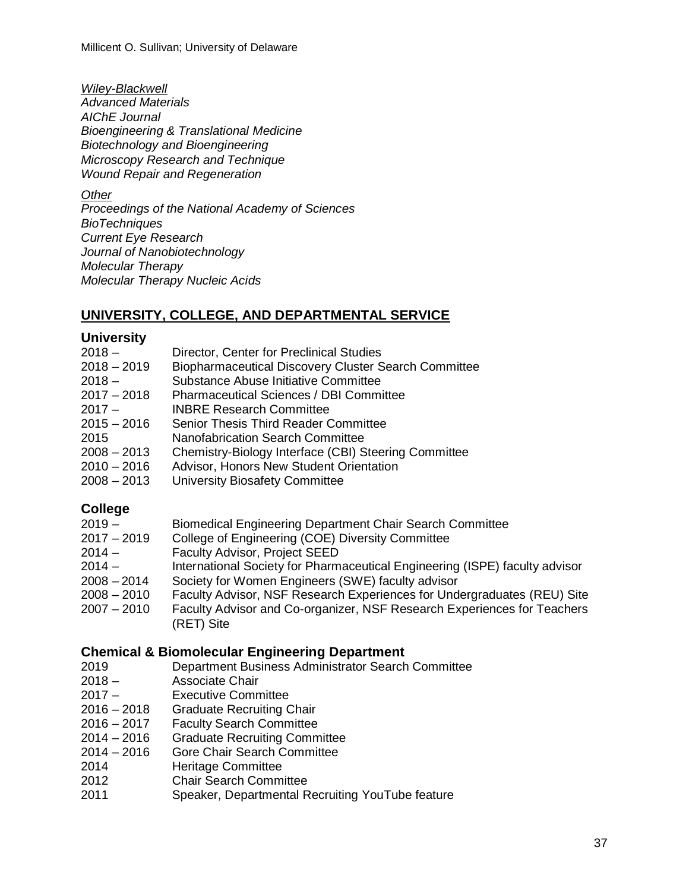Millicent O. Sullivan; University of Delaware

*Wiley-Blackwell Advanced Materials AIChE Journal Bioengineering & Translational Medicine Biotechnology and Bioengineering Microscopy Research and Technique Wound Repair and Regeneration*

*Other*

*Proceedings of the National Academy of Sciences BioTechniques Current Eye Research Journal of Nanobiotechnology Molecular Therapy Molecular Therapy Nucleic Acids*

# **UNIVERSITY, COLLEGE, AND DEPARTMENTAL SERVICE**

#### **University**

| 2018 –        | Director, Center for Preclinical Studies                    |
|---------------|-------------------------------------------------------------|
| 2018 – 2019   | <b>Biopharmaceutical Discovery Cluster Search Committee</b> |
| 2018 –        | Substance Abuse Initiative Committee                        |
| $2017 - 2018$ | <b>Pharmaceutical Sciences / DBI Committee</b>              |
| 2017 –        | <b>INBRE Research Committee</b>                             |
| 2015 – 2016   | <b>Senior Thesis Third Reader Committee</b>                 |
| 2015          | <b>Nanofabrication Search Committee</b>                     |
| 2008 - 2013   | Chemistry-Biology Interface (CBI) Steering Committee        |
| 2010-2016     | Advisor, Honors New Student Orientation                     |
| 2008 – 2013   | University Biosafety Committee                              |
|               |                                                             |

# **College**

- 2019 Biomedical Engineering Department Chair Search Committee
- 2017 2019 College of Engineering (COE) Diversity Committee
- 2014 Faculty Advisor, Project SEED
- 2014 International Society for Pharmaceutical Engineering (ISPE) faculty advisor
- 2008 2014 Society for Women Engineers (SWE) faculty advisor
- 2008 2010 Faculty Advisor, NSF Research Experiences for Undergraduates (REU) Site
- 2007 2010 Faculty Advisor and Co-organizer, NSF Research Experiences for Teachers (RET) Site

# **Chemical & Biomolecular Engineering Department**

- 2019 Department Business Administrator Search Committee
- 2018 Associate Chair
- 2017 Executive Committee
- 2016 2018 Graduate Recruiting Chair
- 2016 2017 Faculty Search Committee
- 2014 2016 Graduate Recruiting Committee
- 2014 2016 Gore Chair Search Committee
- 2014 Heritage Committee
- 2012 Chair Search Committee
- 2011 Speaker, Departmental Recruiting YouTube feature